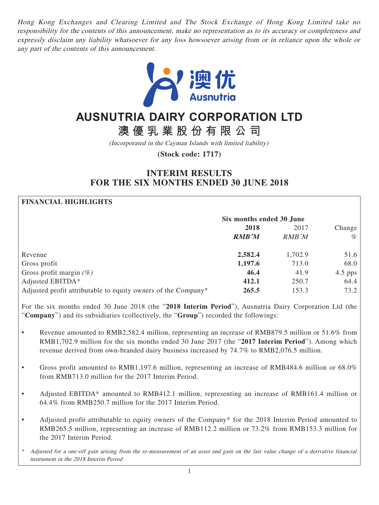Hong Kong Exchanges and Clearing Limited and The Stock Exchange of Hong Kong Limited take no responsibility for the contents of this announcement, make no representation as to its accuracy or completeness and expressly disclaim any liability whatsoever for any loss howsoever arising from or in reliance upon the whole or any part of the contents of this announcement.



# **AUSNUTRIA DAIRY CORPORATION LTD**

**澳優乳業股份有限公司**

(Incorporated in the Cayman Islands with limited liability)

**(Stock code: 1717)**

## **INTERIM RESULTS FOR THE SIX MONTHS ENDED 30 JUNE 2018**

## **FINANCIAL HIGHLIGHTS**

|                                                               | Six months ended 30 June |         |           |
|---------------------------------------------------------------|--------------------------|---------|-----------|
|                                                               | 2018                     | 2017    | Change    |
|                                                               | <b>RMB'M</b>             | RMB'M   | %         |
| Revenue                                                       | 2,582.4                  | 1,702.9 | 51.6      |
| Gross profit                                                  | 1,197.6                  | 713.0   | 68.0      |
| Gross profit margin $(\%)$                                    | 46.4                     | 41.9    | $4.5$ pps |
| Adjusted EBITDA*                                              | 412.1                    | 250.7   | 64.4      |
| Adjusted profit attributable to equity owners of the Company* | 265.5                    | 153.3   | 73.2      |

For the six months ended 30 June 2018 (the "**2018 Interim Period**"), Ausnutria Dairy Corporation Ltd (the "**Company**") and its subsidiaries (collectively, the "**Group**") recorded the followings:

- Revenue amounted to RMB2,582.4 million, representing an increase of RMB879.5 million or 51.6% from RMB1,702.9 million for the six months ended 30 June 2017 (the "**2017 Interim Period**"). Among which revenue derived from own-branded dairy business increased by 74.7% to RMB2,076.5 million.
- Gross profit amounted to RMB1,197.6 million, representing an increase of RMB484.6 million or 68.0% from RMB713.0 million for the 2017 Interim Period.
- Adjusted EBITDA\* amounted to RMB412.1 million, representing an increase of RMB161.4 million or 64.4% from RMB250.7 million for the 2017 Interim Period.
- Adjusted profit attributable to equity owners of the Company\* for the 2018 Interim Period amounted to RMB265.5 million, representing an increase of RMB112.2 million or 73.2% from RMB153.3 million for the 2017 Interim Period.

\* Adjusted for a one-off gain arising from the re-measurement of an asset and gain on the fair value change of a derivative financial instrument in the 2018 Interim Period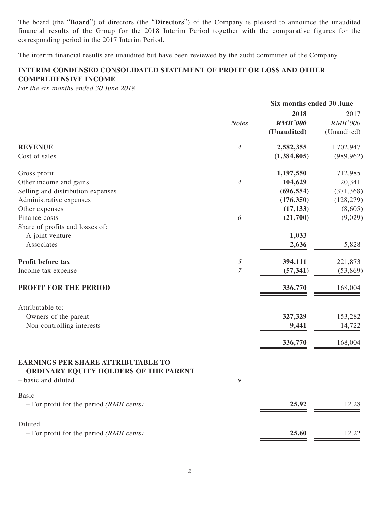The board (the "**Board**") of directors (the "**Directors**") of the Company is pleased to announce the unaudited financial results of the Group for the 2018 Interim Period together with the comparative figures for the corresponding period in the 2017 Interim Period.

The interim financial results are unaudited but have been reviewed by the audit committee of the Company.

## **INTERIM CONDENSED CONSOLIDATED STATEMENT OF PROFIT OR LOSS AND OTHER COMPREHENSIVE INCOME**

For the six months ended 30 June 2018

|                                                                                                           |                                                                                           | Six months ended 30 June |                |
|-----------------------------------------------------------------------------------------------------------|-------------------------------------------------------------------------------------------|--------------------------|----------------|
|                                                                                                           |                                                                                           | 2018                     | 2017           |
|                                                                                                           | <b>Notes</b>                                                                              | <b>RMB'000</b>           | <b>RMB'000</b> |
|                                                                                                           |                                                                                           | (Unaudited)              | (Unaudited)    |
| <b>REVENUE</b>                                                                                            | $\overline{4}$                                                                            | 2,582,355                | 1,702,947      |
| Cost of sales                                                                                             |                                                                                           | (1,384,805)              | (989, 962)     |
| Gross profit                                                                                              |                                                                                           | 1,197,550                | 712,985        |
| Other income and gains                                                                                    | 4                                                                                         | 104,629                  | 20,341         |
| Selling and distribution expenses                                                                         |                                                                                           | (696, 554)               | (371, 368)     |
| Administrative expenses                                                                                   |                                                                                           | (176, 350)               | (128, 279)     |
| Other expenses                                                                                            |                                                                                           | (17, 133)                | (8,605)        |
| Finance costs                                                                                             | 6                                                                                         | (21,700)                 | (9,029)        |
| Share of profits and losses of:                                                                           |                                                                                           |                          |                |
| A joint venture                                                                                           |                                                                                           | 1,033                    |                |
| Associates                                                                                                |                                                                                           | 2,636                    | 5,828          |
| Profit before tax                                                                                         | $\mathfrak{H}% _{F}=\mathfrak{H}_{F,\mathbb{C}}\left( \mathfrak{H}_{F,\mathbb{C}}\right)$ | 394,111                  | 221,873        |
| Income tax expense                                                                                        | $\overline{7}$                                                                            | (57, 341)                | (53,869)       |
| PROFIT FOR THE PERIOD                                                                                     |                                                                                           | 336,770                  | 168,004        |
| Attributable to:                                                                                          |                                                                                           |                          |                |
| Owners of the parent                                                                                      |                                                                                           | 327,329                  | 153,282        |
| Non-controlling interests                                                                                 |                                                                                           | 9,441                    | 14,722         |
|                                                                                                           |                                                                                           | 336,770                  | 168,004        |
| <b>EARNINGS PER SHARE ATTRIBUTABLE TO</b><br>ORDINARY EQUITY HOLDERS OF THE PARENT<br>- basic and diluted | 9                                                                                         |                          |                |
|                                                                                                           |                                                                                           |                          |                |
| <b>Basic</b><br>$-$ For profit for the period ( <i>RMB cents</i> )                                        |                                                                                           |                          | 12.28          |
|                                                                                                           |                                                                                           | 25.92                    |                |
| Diluted                                                                                                   |                                                                                           |                          |                |
| $-$ For profit for the period ( <i>RMB cents</i> )                                                        |                                                                                           | 25.60                    | 12.22          |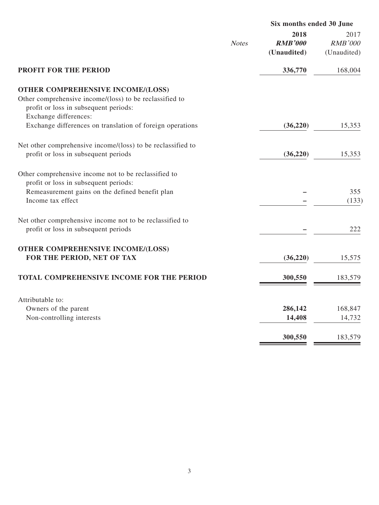|                                                                                                                                                                       |              | Six months ended 30 June              |                                       |
|-----------------------------------------------------------------------------------------------------------------------------------------------------------------------|--------------|---------------------------------------|---------------------------------------|
|                                                                                                                                                                       | <b>Notes</b> | 2018<br><b>RMB'000</b><br>(Unaudited) | 2017<br><b>RMB'000</b><br>(Unaudited) |
| <b>PROFIT FOR THE PERIOD</b>                                                                                                                                          |              | 336,770                               | 168,004                               |
| <b>OTHER COMPREHENSIVE INCOME/(LOSS)</b><br>Other comprehensive income/(loss) to be reclassified to<br>profit or loss in subsequent periods:<br>Exchange differences: |              |                                       |                                       |
| Exchange differences on translation of foreign operations                                                                                                             |              | (36,220)                              | 15,353                                |
| Net other comprehensive income/(loss) to be reclassified to<br>profit or loss in subsequent periods                                                                   |              | (36,220)                              | 15,353                                |
| Other comprehensive income not to be reclassified to<br>profit or loss in subsequent periods:<br>Remeasurement gains on the defined benefit plan<br>Income tax effect |              |                                       | 355<br>(133)                          |
| Net other comprehensive income not to be reclassified to<br>profit or loss in subsequent periods                                                                      |              |                                       | 222                                   |
| <b>OTHER COMPREHENSIVE INCOME/(LOSS)</b><br>FOR THE PERIOD, NET OF TAX                                                                                                |              | (36, 220)                             | 15,575                                |
| TOTAL COMPREHENSIVE INCOME FOR THE PERIOD                                                                                                                             |              | 300,550                               | 183,579                               |
| Attributable to:<br>Owners of the parent<br>Non-controlling interests                                                                                                 |              | 286,142<br>14,408                     | 168,847<br>14,732                     |
|                                                                                                                                                                       |              | 300,550                               | 183,579                               |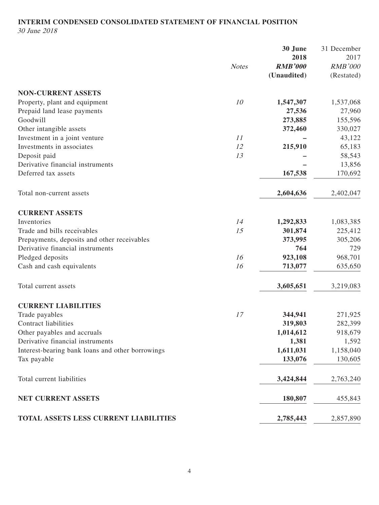#### **INTERIM CONDENSED CONSOLIDATED STATEMENT OF FINANCIAL POSITION** 30 June 2018

**30 June** 31 December **2018** 2017 Notes **RMB'000** RMB'000 **(Unaudited)** (Restated) **NON-CURRENT ASSETS** Property, plant and equipment <sup>10</sup> **1,547,307** 1,537,068 Prepaid land lease payments **27,536** 27,960 Goodwill **273,885** 155,596 Other intangible assets **372,460** 330,027 Investment in a joint venture **11 –** 43,122 Investments in associates <sup>12</sup> **215,910** 65,183 Deposit paid <sup>13</sup> **–** 58,543 Derivative financial instruments **–** 13,856 Deferred tax assets **167,538** 170,692 Total non-current assets **2,604,636** 2,402,047 **CURRENT ASSETS Inventories** 1,083,385 1,083,385 Trade and bills receivables **15 301,874** 225,412 Prepayments, deposits and other receivables **373,995** 305,206 Derivative financial instruments **764** 729 Pledged deposits 316 923,108 968,701 Cash and cash equivalents <sup>16</sup> **713,077** 635,650 Total current assets **3,605,651** 3,219,083 **CURRENT LIABILITIES** Trade payables 271,925 Contract liabilities **319,803** 282,399 Other payables and accruals **1,014,612** 918,679 Derivative financial instruments **1,381** 1,592 Interest-bearing bank loans and other borrowings **1,611,031** 1,158,040 Tax payable **133,076** 130,605 Total current liabilities **3,424,844** 2,763,240 **NET CURRENT ASSETS** 180,807 455,843

## **TOTAL ASSETS LESS CURRENT LIABILITIES 2,785,443** 2,857,890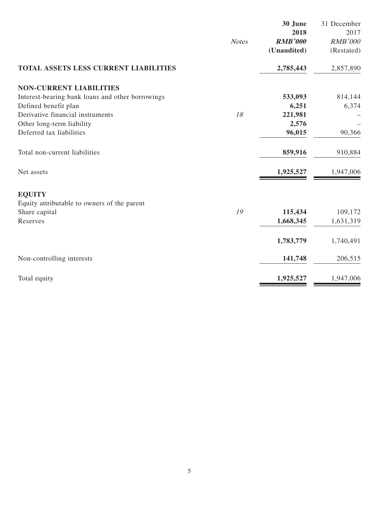|                                                  | <b>Notes</b> | 30 June<br>2018<br><b>RMB'000</b><br>(Unaudited) | 31 December<br>2017<br><b>RMB'000</b><br>(Restated) |
|--------------------------------------------------|--------------|--------------------------------------------------|-----------------------------------------------------|
| <b>TOTAL ASSETS LESS CURRENT LIABILITIES</b>     |              | 2,785,443                                        | 2,857,890                                           |
| <b>NON-CURRENT LIABILITIES</b>                   |              |                                                  |                                                     |
| Interest-bearing bank loans and other borrowings |              | 533,093                                          | 814,144                                             |
| Defined benefit plan                             |              | 6,251                                            | 6,374                                               |
| Derivative financial instruments                 | 18           | 221,981                                          |                                                     |
| Other long-term liability                        |              | 2,576                                            |                                                     |
| Deferred tax liabilities                         |              | 96,015                                           | 90,366                                              |
| Total non-current liabilities                    |              | 859,916                                          | 910,884                                             |
| Net assets                                       |              | 1,925,527                                        | 1,947,006                                           |
| <b>EQUITY</b>                                    |              |                                                  |                                                     |
| Equity attributable to owners of the parent      |              |                                                  |                                                     |
| Share capital                                    | 19           | 115,434                                          | 109,172                                             |
| Reserves                                         |              | 1,668,345                                        | 1,631,319                                           |
|                                                  |              | 1,783,779                                        | 1,740,491                                           |
| Non-controlling interests                        |              | 141,748                                          | 206,515                                             |
| Total equity                                     |              | 1,925,527                                        | 1,947,006                                           |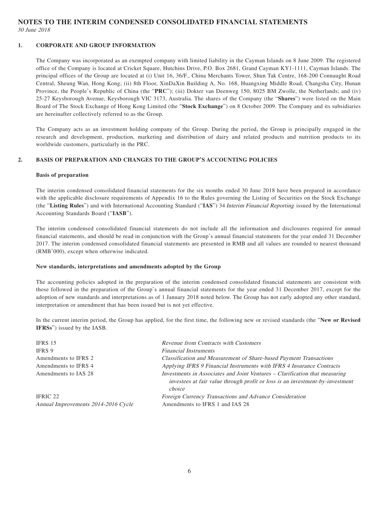## **NOTES TO THE INTERIM CONDENSED CONSOLIDATED FINANCIAL STATEMENTS** 30 June 2018

#### **1. CORPORATE AND GROUP INFORMATION**

The Company was incorporated as an exempted company with limited liability in the Cayman Islands on 8 June 2009. The registered office of the Company is located at Cricket Square, Hutchins Drive, P.O. Box 2681, Grand Cayman KY1-1111, Cayman Islands. The principal offices of the Group are located at (i) Unit 16, 36/F., China Merchants Tower, Shun Tak Centre, 168-200 Connaught Road Central, Sheung Wan, Hong Kong; (ii) 8th Floor, XinDaXin Building A, No. 168, Huangxing Middle Road, Changsha City, Hunan Province, the People's Republic of China (the "**PRC**"); (iii) Dokter van Deenweg 150, 8025 BM Zwolle, the Netherlands; and (iv) 25-27 Keysborough Avenue, Keysborough VIC 3173, Australia. The shares of the Company (the "**Shares**") were listed on the Main Board of The Stock Exchange of Hong Kong Limited (the "**Stock Exchange**") on 8 October 2009. The Company and its subsidiaries are hereinafter collectively referred to as the Group.

The Company acts as an investment holding company of the Group. During the period, the Group is principally engaged in the research and development, production, marketing and distribution of dairy and related products and nutrition products to its worldwide customers, particularly in the PRC.

#### **2. BASIS OF PREPARATION AND CHANGES TO THE GROUP'S ACCOUNTING POLICIES**

#### **Basis of preparation**

The interim condensed consolidated financial statements for the six months ended 30 June 2018 have been prepared in accordance with the applicable disclosure requirements of Appendix 16 to the Rules governing the Listing of Securities on the Stock Exchange (the "**Listing Rules**") and with International Accounting Standard ("**IAS**") 34 Interim Financial Reporting issued by the International Accounting Standards Board ("**IASB**").

The interim condensed consolidated financial statements do not include all the information and disclosures required for annual financial statements, and should be read in conjunction with the Group's annual financial statements for the year ended 31 December 2017. The interim condensed consolidated financial statements are presented in RMB and all values are rounded to nearest thousand (RMB'000), except when otherwise indicated.

#### **New standards, interpretations and amendments adopted by the Group**

The accounting policies adopted in the preparation of the interim condensed consolidated financial statements are consistent with those followed in the preparation of the Group's annual financial statements for the year ended 31 December 2017, except for the adoption of new standards and interpretations as of 1 January 2018 noted below. The Group has not early adopted any other standard, interpretation or amendment that has been issued but is not yet effective.

In the current interim period, the Group has applied, for the first time, the following new or revised standards (the "**New or Revised IFRSs**") issued by the IASB.

| IFRS 15                                         | Revenue from Contracts with Customers                                                                                                                                  |
|-------------------------------------------------|------------------------------------------------------------------------------------------------------------------------------------------------------------------------|
| IFRS 9                                          | <b>Financial Instruments</b>                                                                                                                                           |
| Amendments to IFRS 2                            | <b>Classification and Measurement of Share-based Payment Transactions</b>                                                                                              |
| Amendments to IFRS 4                            | Applying IFRS 9 Financial Instruments with IFRS 4 Insurance Contracts                                                                                                  |
| Amendments to IAS 28                            | Investments in Associates and Joint Ventures - Clarification that measuring<br>investees at fair value through profit or loss is an investment-by-investment<br>choice |
| IFRIC 22<br>Annual Improvements 2014-2016 Cycle | Foreign Currency Transactions and Advance Consideration<br>Amendments to IFRS 1 and IAS 28                                                                             |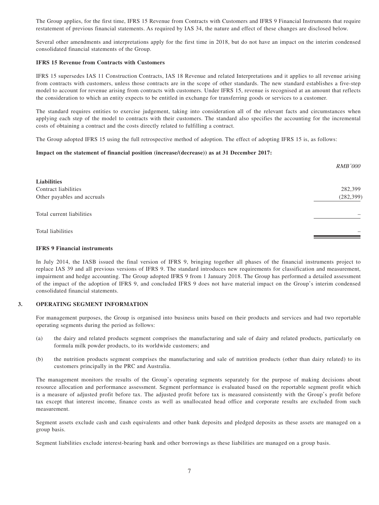The Group applies, for the first time, IFRS 15 Revenue from Contracts with Customers and IFRS 9 Financial Instruments that require restatement of previous financial statements. As required by IAS 34, the nature and effect of these changes are disclosed below.

Several other amendments and interpretations apply for the first time in 2018, but do not have an impact on the interim condensed consolidated financial statements of the Group.

#### **IFRS 15 Revenue from Contracts with Customers**

IFRS 15 supersedes IAS 11 Construction Contracts, IAS 18 Revenue and related Interpretations and it applies to all revenue arising from contracts with customers, unless those contracts are in the scope of other standards. The new standard establishes a five-step model to account for revenue arising from contracts with customers. Under IFRS 15, revenue is recognised at an amount that reflects the consideration to which an entity expects to be entitled in exchange for transferring goods or services to a customer.

The standard requires entities to exercise judgement, taking into consideration all of the relevant facts and circumstances when applying each step of the model to contracts with their customers. The standard also specifies the accounting for the incremental costs of obtaining a contract and the costs directly related to fulfilling a contract.

The Group adopted IFRS 15 using the full retrospective method of adoption. The effect of adopting IFRS 15 is, as follows:

#### **Impact on the statement of financial position (increase/(decrease)) as at 31 December 2017:**

|                             | <i>RMB'000</i> |
|-----------------------------|----------------|
| Liabilities                 |                |
| Contract liabilities        | 282,399        |
| Other payables and accruals | (282, 399)     |
| Total current liabilities   |                |
| Total liabilities           |                |

#### **IFRS 9 Financial instruments**

In July 2014, the IASB issued the final version of IFRS 9, bringing together all phases of the financial instruments project to replace IAS 39 and all previous versions of IFRS 9. The standard introduces new requirements for classification and measurement, impairment and hedge accounting. The Group adopted IFRS 9 from 1 January 2018. The Group has performed a detailed assessment of the impact of the adoption of IFRS 9, and concluded IFRS 9 does not have material impact on the Group's interim condensed consolidated financial statements.

#### **3. OPERATING SEGMENT INFORMATION**

For management purposes, the Group is organised into business units based on their products and services and had two reportable operating segments during the period as follows:

- (a) the dairy and related products segment comprises the manufacturing and sale of dairy and related products, particularly on formula milk powder products, to its worldwide customers; and
- (b) the nutrition products segment comprises the manufacturing and sale of nutrition products (other than dairy related) to its customers principally in the PRC and Australia.

The management monitors the results of the Group's operating segments separately for the purpose of making decisions about resource allocation and performance assessment. Segment performance is evaluated based on the reportable segment profit which is a measure of adjusted profit before tax. The adjusted profit before tax is measured consistently with the Group's profit before tax except that interest income, finance costs as well as unallocated head office and corporate results are excluded from such measurement.

Segment assets exclude cash and cash equivalents and other bank deposits and pledged deposits as these assets are managed on a group basis.

Segment liabilities exclude interest-bearing bank and other borrowings as these liabilities are managed on a group basis.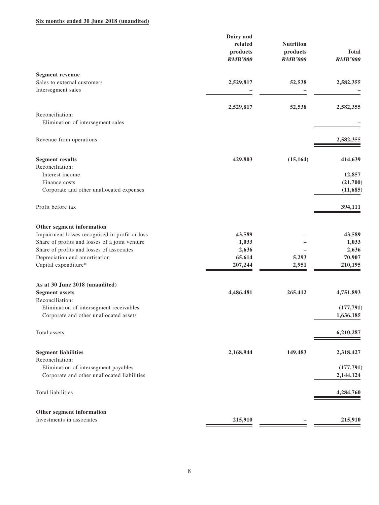#### **Six months ended 30 June 2018 (unaudited)**

|                                                                                     | Dairy and<br>related<br>products<br><b>RMB'000</b> | <b>Nutrition</b><br>products<br><b>RMB'000</b> | <b>Total</b><br><b>RMB'000</b> |
|-------------------------------------------------------------------------------------|----------------------------------------------------|------------------------------------------------|--------------------------------|
| <b>Segment revenue</b><br>Sales to external customers<br>Intersegment sales         | 2,529,817                                          | 52,538                                         | 2,582,355                      |
|                                                                                     | 2,529,817                                          | 52,538                                         | 2,582,355                      |
| Reconciliation:                                                                     |                                                    |                                                |                                |
| Elimination of intersegment sales                                                   |                                                    |                                                |                                |
| Revenue from operations                                                             |                                                    |                                                | 2,582,355                      |
| <b>Segment results</b>                                                              | 429,803                                            | (15, 164)                                      | 414,639                        |
| Reconciliation:                                                                     |                                                    |                                                |                                |
| Interest income<br>Finance costs                                                    |                                                    |                                                | 12,857<br>(21,700)             |
| Corporate and other unallocated expenses                                            |                                                    |                                                | (11,685)                       |
| Profit before tax                                                                   |                                                    |                                                | 394,111                        |
| Other segment information                                                           |                                                    |                                                |                                |
| Impairment losses recognised in profit or loss                                      | 43,589                                             |                                                | 43,589                         |
| Share of profits and losses of a joint venture                                      | 1,033                                              |                                                | 1,033                          |
| Share of profits and losses of associates                                           | 2,636                                              |                                                | 2,636                          |
| Depreciation and amortisation<br>Capital expenditure*                               | 65,614<br>207,244                                  | 5,293<br>2,951                                 | 70,907<br>210,195              |
| As at 30 June 2018 (unaudited)                                                      |                                                    |                                                |                                |
| <b>Segment</b> assets                                                               | 4,486,481                                          | 265,412                                        | 4,751,893                      |
| Reconciliation:                                                                     |                                                    |                                                |                                |
| Elimination of intersegment receivables                                             |                                                    |                                                | (177, 791)                     |
| Corporate and other unallocated assets                                              |                                                    |                                                | 1,636,185                      |
| Total assets                                                                        |                                                    |                                                | 6,210,287                      |
| <b>Segment liabilities</b>                                                          | 2,168,944                                          | 149,483                                        | 2,318,427                      |
| Reconciliation:                                                                     |                                                    |                                                |                                |
| Elimination of intersegment payables<br>Corporate and other unallocated liabilities |                                                    |                                                | (177, 791)<br>2,144,124        |
|                                                                                     |                                                    |                                                |                                |
| Total liabilities                                                                   |                                                    |                                                | 4,284,760                      |
| Other segment information                                                           |                                                    |                                                |                                |
| Investments in associates                                                           | 215,910                                            |                                                | 215,910                        |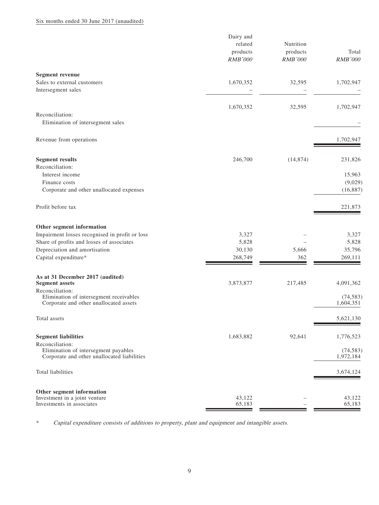#### Six months ended 30 June 2017 (unaudited)

|                                                                                                        | Dairy and<br>related<br>products<br>RMB'000 | Nutrition<br>products<br><b>RMB'000</b> | Total<br><b>RMB'000</b> |
|--------------------------------------------------------------------------------------------------------|---------------------------------------------|-----------------------------------------|-------------------------|
| <b>Segment revenue</b>                                                                                 |                                             |                                         |                         |
| Sales to external customers<br>Intersegment sales                                                      | 1,670,352                                   | 32,595                                  | 1,702,947               |
|                                                                                                        | 1,670,352                                   | 32,595                                  | 1,702,947               |
| Reconciliation:<br>Elimination of intersegment sales                                                   |                                             |                                         |                         |
| Revenue from operations                                                                                |                                             |                                         | 1,702,947               |
| <b>Segment results</b><br>Reconciliation:                                                              | 246,700                                     | (14, 874)                               | 231,826                 |
| Interest income                                                                                        |                                             |                                         | 15,963                  |
| Finance costs<br>Corporate and other unallocated expenses                                              |                                             |                                         | (9,029)<br>(16, 887)    |
| Profit before tax                                                                                      |                                             |                                         | 221,873                 |
| Other segment information                                                                              |                                             |                                         |                         |
| Impairment losses recognised in profit or loss<br>Share of profits and losses of associates            | 3,327<br>5,828                              |                                         | 3,327<br>5,828          |
| Depreciation and amortisation                                                                          | 30,130                                      | 5,666                                   | 35,796                  |
| Capital expenditure*                                                                                   | 268,749                                     | 362                                     | 269,111                 |
| As at 31 December 2017 (audited)<br><b>Segment assets</b>                                              | 3,873,877                                   | 217,485                                 | 4,091,362               |
| Reconciliation:<br>Elimination of intersegment receivables<br>Corporate and other unallocated assets   |                                             |                                         | (74, 583)<br>1,604,351  |
| Total assets                                                                                           |                                             |                                         | 5,621,130               |
| <b>Segment liabilities</b>                                                                             | 1,683,882                                   | 92,641                                  | 1,776,523               |
| Reconciliation:<br>Elimination of intersegment payables<br>Corporate and other unallocated liabilities |                                             |                                         | (74, 583)<br>1,972,184  |
| Total liabilities                                                                                      |                                             |                                         | 3,674,124               |
| Other segment information<br>Investment in a joint venture                                             | 43,122                                      |                                         | 43,122                  |
| Investments in associates                                                                              | 65,183                                      |                                         | 65,183                  |

\* Capital expenditure consists of additions to property, plant and equipment and intangible assets.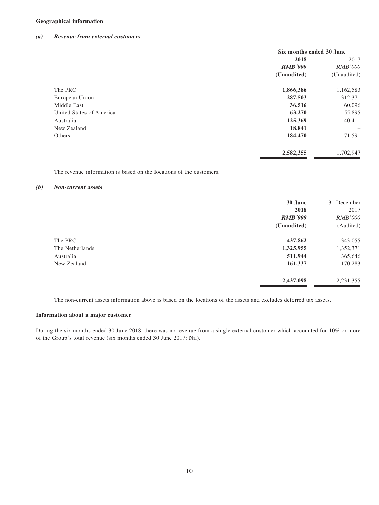#### **Geographical information**

#### **(a) Revenue from external customers**

|                          | Six months ended 30 June |                          |  |
|--------------------------|--------------------------|--------------------------|--|
|                          | 2018                     | 2017                     |  |
|                          | <b>RMB'000</b>           | <b>RMB'000</b>           |  |
|                          | (Unaudited)              | (Unaudited)              |  |
| The PRC                  | 1,866,386                | 1,162,583                |  |
| European Union           | 287,503                  | 312,371                  |  |
| Middle East              | 36,516                   | 60,096                   |  |
| United States of America | 63,270                   | 55,895                   |  |
| Australia                | 125,369                  | 40,411                   |  |
| New Zealand              | 18,841                   | $\overline{\phantom{m}}$ |  |
| Others                   | 184,470                  | 71,591                   |  |
|                          | 2,582,355                | 1,702,947                |  |
|                          |                          |                          |  |

The revenue information is based on the locations of the customers.

#### **(b) Non-current assets**

|                 | 30 June        | 31 December    |
|-----------------|----------------|----------------|
|                 | 2018           | 2017           |
|                 | <b>RMB'000</b> | <b>RMB'000</b> |
|                 | (Unaudited)    | (Audited)      |
| The PRC         | 437,862        | 343,055        |
| The Netherlands | 1,325,955      | 1,352,371      |
| Australia       | 511,944        | 365,646        |
| New Zealand     | 161,337        | 170,283        |
|                 | 2,437,098      | 2,231,355      |

The non-current assets information above is based on the locations of the assets and excludes deferred tax assets.

#### **Information about a major customer**

During the six months ended 30 June 2018, there was no revenue from a single external customer which accounted for 10% or more of the Group's total revenue (six months ended 30 June 2017: Nil).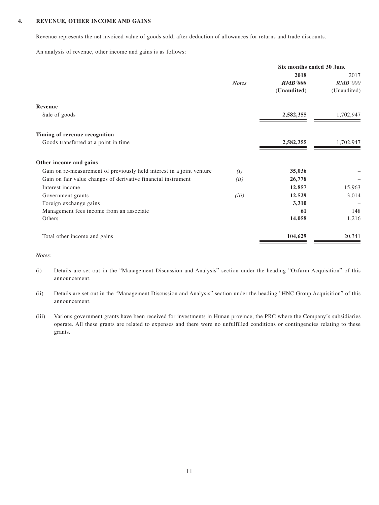#### **4. REVENUE, OTHER INCOME AND GAINS**

Revenue represents the net invoiced value of goods sold, after deduction of allowances for returns and trade discounts.

An analysis of revenue, other income and gains is as follows:

|                                                                       | Six months ended 30 June |                |                |
|-----------------------------------------------------------------------|--------------------------|----------------|----------------|
|                                                                       |                          | 2018           | 2017           |
|                                                                       | <b>Notes</b>             | <b>RMB'000</b> | <b>RMB'000</b> |
|                                                                       |                          | (Unaudited)    | (Unaudited)    |
| Revenue                                                               |                          |                |                |
| Sale of goods                                                         |                          | 2,582,355      | 1,702,947      |
| Timing of revenue recognition                                         |                          |                |                |
| Goods transferred at a point in time                                  |                          | 2,582,355      | 1,702,947      |
| Other income and gains                                                |                          |                |                |
| Gain on re-measurement of previously held interest in a joint venture | (i)                      | 35,036         |                |
| Gain on fair value changes of derivative financial instrument         | (ii)                     | 26,778         |                |
| Interest income                                                       |                          | 12,857         | 15,963         |
| Government grants                                                     | (iii)                    | 12,529         | 3,014          |
| Foreign exchange gains                                                |                          | 3,310          |                |
| Management fees income from an associate                              |                          | 61             | 148            |
| Others                                                                |                          | 14,058         | 1,216          |
| Total other income and gains                                          |                          | 104,629        | 20,341         |

Notes:

- (i) Details are set out in the "Management Discussion and Analysis" section under the heading "Ozfarm Acquisition" of this announcement.
- (ii) Details are set out in the "Management Discussion and Analysis" section under the heading "HNC Group Acquisition" of this announcement.
- (iii) Various government grants have been received for investments in Hunan province, the PRC where the Company's subsidiaries operate. All these grants are related to expenses and there were no unfulfilled conditions or contingencies relating to these grants.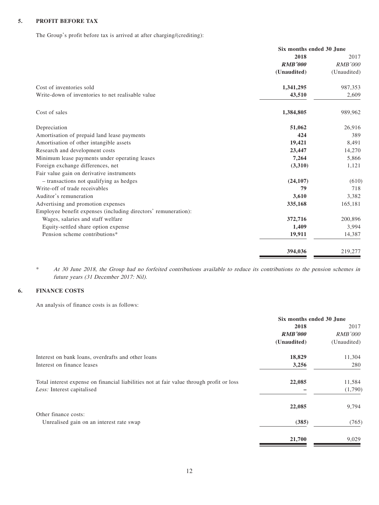#### **5. PROFIT BEFORE TAX**

The Group's profit before tax is arrived at after charging/(crediting):

|                                                                | Six months ended 30 June |                |
|----------------------------------------------------------------|--------------------------|----------------|
|                                                                | 2018                     | 2017           |
|                                                                | <b>RMB'000</b>           | <b>RMB'000</b> |
|                                                                | (Unaudited)              | (Unaudited)    |
| Cost of inventories sold                                       | 1,341,295                | 987,353        |
| Write-down of inventories to net realisable value              | 43,510                   | 2,609          |
| Cost of sales                                                  | 1,384,805                | 989,962        |
| Depreciation                                                   | 51,062                   | 26,916         |
| Amortisation of prepaid land lease payments                    | 424                      | 389            |
| Amortisation of other intangible assets                        | 19,421                   | 8,491          |
| Research and development costs                                 | 23,447                   | 14,270         |
| Minimum lease payments under operating leases                  | 7,264                    | 5,866          |
| Foreign exchange differences, net                              | (3,310)                  | 1,121          |
| Fair value gain on derivative instruments                      |                          |                |
| - transactions not qualifying as hedges                        | (24, 107)                | (610)          |
| Write-off of trade receivables                                 | 79                       | 718            |
| Auditor's remuneration                                         | 3,610                    | 3,382          |
| Advertising and promotion expenses                             | 335,168                  | 165,181        |
| Employee benefit expenses (including directors' remuneration): |                          |                |
| Wages, salaries and staff welfare                              | 372,716                  | 200,896        |
| Equity-settled share option expense                            | 1,409                    | 3,994          |
| Pension scheme contributions*                                  | 19,911                   | 14,387         |
|                                                                | 394,036                  | 219,277        |
|                                                                |                          |                |

\* At 30 June 2018, the Group had no forfeited contributions available to reduce its contributions to the pension schemes in future years (31 December 2017: Nil).

#### **6. FINANCE COSTS**

An analysis of finance costs is as follows:

|                                                                                          | Six months ended 30 June |                |      |
|------------------------------------------------------------------------------------------|--------------------------|----------------|------|
|                                                                                          | 2018                     |                | 2017 |
|                                                                                          | <b>RMB'000</b>           | <i>RMB'000</i> |      |
|                                                                                          | (Unaudited)              | (Unaudited)    |      |
| Interest on bank loans, overdrafts and other loans                                       | 18,829                   | 11,304         |      |
| Interest on finance leases                                                               | 3,256                    | 280            |      |
| Total interest expense on financial liabilities not at fair value through profit or loss | 22,085                   | 11,584         |      |
| Less: Interest capitalised                                                               |                          | (1,790)        |      |
|                                                                                          | 22,085                   | 9,794          |      |
| Other finance costs:                                                                     |                          |                |      |
| Unrealised gain on an interest rate swap                                                 | (385)                    | (765)          |      |
|                                                                                          | 21,700                   | 9,029          |      |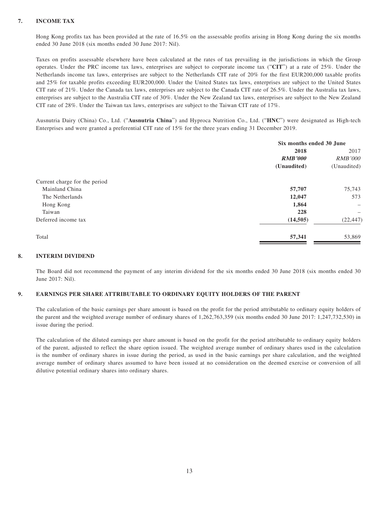#### **7. INCOME TAX**

Hong Kong profits tax has been provided at the rate of 16.5% on the assessable profits arising in Hong Kong during the six months ended 30 June 2018 (six months ended 30 June 2017: Nil).

Taxes on profits assessable elsewhere have been calculated at the rates of tax prevailing in the jurisdictions in which the Group operates. Under the PRC income tax laws, enterprises are subject to corporate income tax ("**CIT**") at a rate of 25%. Under the Netherlands income tax laws, enterprises are subject to the Netherlands CIT rate of 20% for the first EUR200,000 taxable profits and 25% for taxable profits exceeding EUR200,000. Under the United States tax laws, enterprises are subject to the United States CIT rate of 21%. Under the Canada tax laws, enterprises are subject to the Canada CIT rate of 26.5%. Under the Australia tax laws, enterprises are subject to the Australia CIT rate of 30%. Under the New Zealand tax laws, enterprises are subject to the New Zealand CIT rate of 28%. Under the Taiwan tax laws, enterprises are subject to the Taiwan CIT rate of 17%.

Ausnutria Dairy (China) Co., Ltd. ("**Ausnutria China**") and Hyproca Nutrition Co., Ltd. ("**HNC**") were designated as High-tech Enterprises and were granted a preferential CIT rate of 15% for the three years ending 31 December 2019.

|                               | Six months ended 30 June |                          |
|-------------------------------|--------------------------|--------------------------|
|                               | 2018                     |                          |
|                               | <b>RMB'000</b>           | <i>RMB'000</i>           |
|                               | (Unaudited)              | (Unaudited)              |
| Current charge for the period |                          |                          |
| Mainland China                | 57,707                   | 75,743                   |
| The Netherlands               | 12,047                   | 573                      |
| Hong Kong                     | 1,864                    | $\overline{\phantom{0}}$ |
| Taiwan                        | 228                      | -                        |
| Deferred income tax           | (14, 505)                | (22, 447)                |
| Total                         | 57,341                   | 53,869                   |

#### **8. INTERIM DIVIDEND**

The Board did not recommend the payment of any interim dividend for the six months ended 30 June 2018 (six months ended 30 June 2017: Nil).

#### **9. EARNINGS PER SHARE ATTRIBUTABLE TO ORDINARY EQUITY HOLDERS OF THE PARENT**

The calculation of the basic earnings per share amount is based on the profit for the period attributable to ordinary equity holders of the parent and the weighted average number of ordinary shares of 1,262,763,359 (six months ended 30 June 2017: 1,247,732,530) in issue during the period.

The calculation of the diluted earnings per share amount is based on the profit for the period attributable to ordinary equity holders of the parent, adjusted to reflect the share option issued. The weighted average number of ordinary shares used in the calculation is the number of ordinary shares in issue during the period, as used in the basic earnings per share calculation, and the weighted average number of ordinary shares assumed to have been issued at no consideration on the deemed exercise or conversion of all dilutive potential ordinary shares into ordinary shares.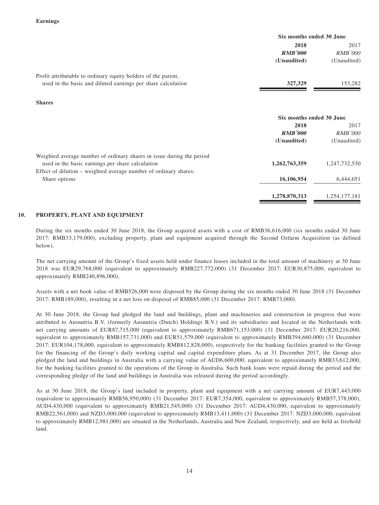|                                                               | Six months ended 30 June                                                      |                |
|---------------------------------------------------------------|-------------------------------------------------------------------------------|----------------|
|                                                               | 2018<br>2017                                                                  |                |
|                                                               | <b>RMB'000</b>                                                                | <i>RMB'000</i> |
|                                                               | (Unaudited)                                                                   | (Unaudited)    |
| Profit attributable to ordinary equity holders of the parent, |                                                                               |                |
| used in the basic and diluted earnings per share calculation  | 327,329                                                                       | 153,282        |
| <b>Shares</b>                                                 |                                                                               |                |
|                                                               | Six months ended 30 June                                                      |                |
|                                                               | 2018                                                                          | 2017           |
|                                                               | $\mathbf{D}$ $\mathbf{I}$ $\mathbf{D}$ $\mathbf{I}$ $\mathbf{A}$ $\mathbf{A}$ | DIMD'QQQ       |

|                                                                       | KMD VVV<br>(Unaudited) | KND VIIV<br>(Unaudited) |
|-----------------------------------------------------------------------|------------------------|-------------------------|
| Weighted average number of ordinary shares in issue during the period |                        |                         |
| used in the basic earnings per share calculation                      | 1,262,763,359          | 1,247,732,530           |
| Effect of dilution – weighted average number of ordinary shares:      |                        |                         |
| Share options                                                         | 16,106,954             | 6,444,651               |
|                                                                       | 1,278,870,313          | 1,254,177,181           |

#### **10. PROPERTY, PLANT AND EQUIPMENT**

During the six months ended 30 June 2018, the Group acquired assets with a cost of RMB36,616,000 (six months ended 30 June 2017: RMB33,179,000), excluding property, plant and equipment acquired through the Second Ozfarm Acquisition (as defined below).

The net carrying amount of the Group's fixed assets held under finance leases included in the total amount of machinery at 30 June 2018 was EUR29,768,000 (equivalent to approximately RMB227,772,000) (31 December 2017: EUR30,875,000, equivalent to approximately RMB240,896,000).

Assets with a net book value of RMB526,000 were disposed by the Group during the six months ended 30 June 2018 (31 December 2017: RMB189,000), resulting in a net loss on disposal of RMB85,000 (31 December 2017: RMB73,000).

At 30 June 2018, the Group had pledged the land and buildings, plant and machineries and construction in progress that were attributed to Ausnutria B.V. (formerly Ausnutria (Dutch) Holdings B.V.) and its subsidiaries and located in the Netherlands with net carrying amounts of EUR87,715,000 (equivalent to approximately RMB671,153,000) (31 December 2017: EUR20,216,000, equivalent to approximately RMB157,731,000) and EUR51,579,000 (equivalent to approximately RMB394,660,000) (31 December 2017: EUR104,178,000, equivalent to approximately RMB812,828,000), respectively for the banking facilities granted to the Group for the financing of the Group's daily working capital and capital expenditure plans. As at 31 December 2017, the Group also pledged the land and buildings in Australia with a carrying value of AUD6,600,000, equivalent to approximately RMB33,612,000, for the banking facilities granted to the operations of the Group in Australia. Such bank loans were repaid during the period and the corresponding pledge of the land and buildings in Australia was released during the period accordingly.

As at 30 June 2018, the Group's land included in property, plant and equipment with a net carrying amount of EUR7,443,000 (equivalent to approximately RMB56,950,000) (31 December 2017: EUR7,354,000, equivalent to approximately RMB57,378,000), AUD4,430,000 (equivalent to approximately RMB21,545,000) (31 December 2017: AUD4,430,000, equivalent to approximately RMB22,561,000) and NZD3,000,000 (equivalent to approximately RMB13,411,000) (31 December 2017: NZD3,000,000, equivalent to approximately RMB12,981,000) are situated in the Netherlands, Australia and New Zealand, respectively, and are held as freehold land.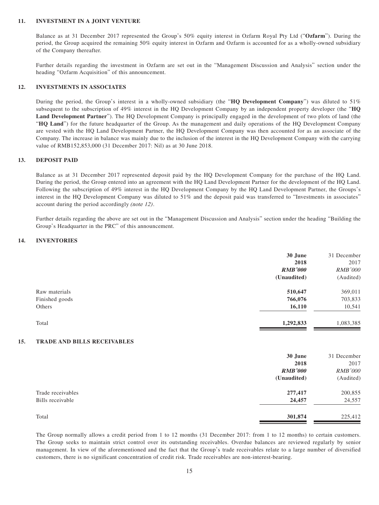#### **11. INVESTMENT IN A JOINT VENTURE**

Balance as at 31 December 2017 represented the Group's 50% equity interest in Ozfarm Royal Pty Ltd ("**Ozfarm**"). During the period, the Group acquired the remaining 50% equity interest in Ozfarm and Ozfarm is accounted for as a wholly-owned subsidiary of the Company thereafter.

Further details regarding the investment in Ozfarm are set out in the "Management Discussion and Analysis" section under the heading "Ozfarm Acquisition" of this announcement.

#### **12. INVESTMENTS IN ASSOCIATES**

During the period, the Group's interest in a wholly-owned subsidiary (the "**HQ Development Company**") was diluted to 51% subsequent to the subscription of 49% interest in the HQ Development Company by an independent property developer (the "**HQ Land Development Partner**"). The HQ Development Company is principally engaged in the development of two plots of land (the "**HQ Land**") for the future headquarter of the Group. As the management and daily operations of the HQ Development Company are vested with the HQ Land Development Partner, the HQ Development Company was then accounted for as an associate of the Company. The increase in balance was mainly due to the inclusion of the interest in the HQ Development Company with the carrying value of RMB152,853,000 (31 December 2017: Nil) as at 30 June 2018.

#### **13. DEPOSIT PAID**

Balance as at 31 December 2017 represented deposit paid by the HQ Development Company for the purchase of the HQ Land. During the period, the Group entered into an agreement with the HQ Land Development Partner for the development of the HQ Land. Following the subscription of 49% interest in the HQ Development Company by the HQ Land Development Partner, the Groups's interest in the HQ Development Company was diluted to 51% and the deposit paid was transferred to "Investments in associates" account during the period accordingly (note 12).

Further details regarding the above are set out in the "Management Discussion and Analysis" section under the heading "Building the Group's Headquarter in the PRC" of this announcement.

#### **14. INVENTORIES**

|     |                             | 30 June        | 31 December    |
|-----|-----------------------------|----------------|----------------|
|     |                             | 2018           | 2017           |
|     |                             | <b>RMB'000</b> | <b>RMB'000</b> |
|     |                             | (Unaudited)    | (Audited)      |
|     | Raw materials               | 510,647        | 369,011        |
|     | Finished goods              | 766,076        | 703,833        |
|     | Others                      | 16,110         | 10,541         |
|     | Total                       | 1,292,833      | 1,083,385      |
| 15. | TRADE AND BILLS RECEIVABLES |                |                |
|     |                             | 30 June        | 31 December    |
|     |                             | 2018           | 2017           |
|     |                             | <b>RMB'000</b> | <b>RMB'000</b> |
|     |                             | (Unaudited)    | (Audited)      |
|     | Trade receivables           | 277,417        | 200,855        |
|     | Bills receivable            | 24,457         | 24,557         |
|     | Total                       | 301,874        | 225,412        |

The Group normally allows a credit period from 1 to 12 months (31 December 2017: from 1 to 12 months) to certain customers. The Group seeks to maintain strict control over its outstanding receivables. Overdue balances are reviewed regularly by senior management. In view of the aforementioned and the fact that the Group's trade receivables relate to a large number of diversified customers, there is no significant concentration of credit risk. Trade receivables are non-interest-bearing.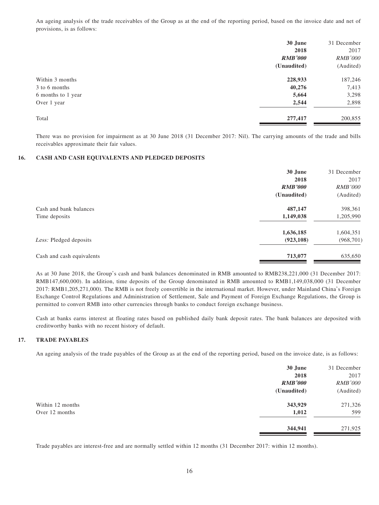An ageing analysis of the trade receivables of the Group as at the end of the reporting period, based on the invoice date and net of provisions, is as follows:

|                    | 30 June        | 31 December    |
|--------------------|----------------|----------------|
|                    | 2018           | 2017           |
|                    | <b>RMB'000</b> | <b>RMB'000</b> |
|                    | (Unaudited)    | (Audited)      |
| Within 3 months    | 228,933        | 187,246        |
| 3 to 6 months      | 40,276         | 7,413          |
| 6 months to 1 year | 5,664          | 3,298          |
| Over 1 year        | 2,544          | 2,898          |
| Total              | 277,417        | 200,855        |

There was no provision for impairment as at 30 June 2018 (31 December 2017: Nil). The carrying amounts of the trade and bills receivables approximate their fair values.

#### **16. CASH AND CASH EQUIVALENTS AND PLEDGED DEPOSITS**

|                           | 30 June        | 31 December    |
|---------------------------|----------------|----------------|
|                           | 2018           | 2017           |
|                           | <b>RMB'000</b> | <i>RMB'000</i> |
|                           | (Unaudited)    | (Audited)      |
| Cash and bank balances    | 487,147        | 398,361        |
| Time deposits             | 1,149,038      | 1,205,990      |
|                           | 1,636,185      | 1,604,351      |
| Less: Pledged deposits    | (923, 108)     | (968, 701)     |
| Cash and cash equivalents | 713,077        | 635,650        |

As at 30 June 2018, the Group's cash and bank balances denominated in RMB amounted to RMB238,221,000 (31 December 2017: RMB147,600,000). In addition, time deposits of the Group denominated in RMB amounted to RMB1,149,038,000 (31 December 2017: RMB1,205,271,000). The RMB is not freely convertible in the international market. However, under Mainland China's Foreign Exchange Control Regulations and Administration of Settlement, Sale and Payment of Foreign Exchange Regulations, the Group is permitted to convert RMB into other currencies through banks to conduct foreign exchange business.

Cash at banks earns interest at floating rates based on published daily bank deposit rates. The bank balances are deposited with creditworthy banks with no recent history of default.

#### **17. TRADE PAYABLES**

An ageing analysis of the trade payables of the Group as at the end of the reporting period, based on the invoice date, is as follows:

| 30 June        | 31 December    |
|----------------|----------------|
| 2018           | 2017           |
| <b>RMB'000</b> | <b>RMB'000</b> |
| (Unaudited)    | (Audited)      |
| 343,929        | 271,326        |
| 1,012          | 599            |
| 344,941        | 271,925        |
|                |                |

Trade payables are interest-free and are normally settled within 12 months (31 December 2017: within 12 months).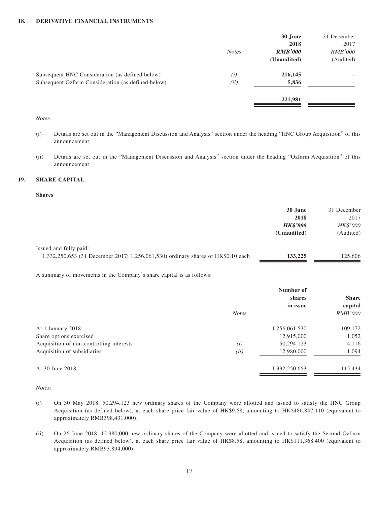|              | 30 June<br>2018 | 31 December<br>2017 |
|--------------|-----------------|---------------------|
| <b>Notes</b> | <b>RMB'000</b>  | <b>RMB'000</b>      |
|              | (Unaudited)     | (Audited)           |
| (i)          | 216,145         | -                   |
| (ii)         | 5,836           | -                   |
|              | 221,981         | -                   |
|              |                 |                     |

#### Notes:

- (i) Details are set out in the "Management Discussion and Analysis" section under the heading "HNC Group Acquisition" of this announcement.
- (ii) Details are set out in the "Management Discussion and Analysis" section under the heading "Ozfarm Acquisition" of this announcement.

#### **19. SHARE CAPITAL**

#### **Shares**

|                                                                                  | 30 June         | 31 December     |
|----------------------------------------------------------------------------------|-----------------|-----------------|
|                                                                                  | 2018            | 2017            |
|                                                                                  | <b>HK\$'000</b> | <b>HK\$'000</b> |
|                                                                                  | (Unaudited)     | (Audited)       |
| Issued and fully paid:                                                           |                 |                 |
| 1,332,250,653 (31 December 2017: 1,256,061,530) ordinary shares of HK\$0.10 each | 133,225         | 125,606         |

A summary of movements in the Company's share capital is as follows:

|                                          | <b>Notes</b> | Number of<br>shares<br>in issue | <b>Share</b><br>capital<br><b>RMB'000</b> |
|------------------------------------------|--------------|---------------------------------|-------------------------------------------|
| At 1 January 2018                        |              | 1,256,061,530                   | 109,172                                   |
| Share options exercised                  |              | 12,915,000                      | 1,052                                     |
| Acquisition of non-controlling interests | (i)          | 50,294,123                      | 4,116                                     |
| Acquisition of subsidiaries              | (ii)         | 12,980,000                      | 1,094                                     |
| At 30 June 2018                          |              | 1,332,250,653                   | 115,434                                   |

Notes:

- (i) On 30 May 2018, 50,294,123 new ordinary shares of the Company were allotted and issued to satisfy the HNC Group Acquisition (as defined below), at each share price fair value of HK\$9.68, amounting to HK\$486,847,110 (equivalent to approximately RMB398,431,000).
- (ii) On 26 June 2018, 12,980,000 new ordinary shares of the Company were allotted and issued to satisfy the Second Ozfarm Acquisition (as defined below), at each share price fair value of HK\$8.58, amounting to HK\$111,368,400 (equivalent to approximately RMB93,894,000).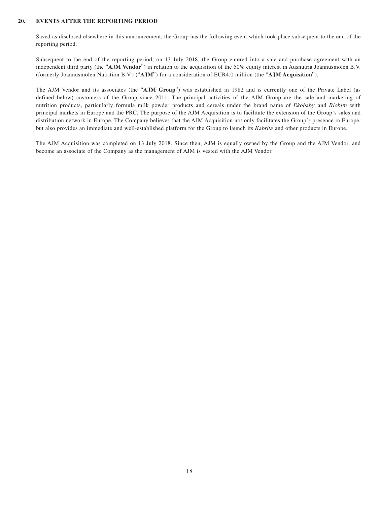#### **20. EVENTS AFTER THE REPORTING PERIOD**

Saved as disclosed elsewhere in this announcement, the Group has the following event which took place subsequent to the end of the reporting period.

Subsequent to the end of the reporting period, on 13 July 2018, the Group entered into a sale and purchase agreement with an independent third party (the "**AJM Vendor**") in relation to the acquisition of the 50% equity interest in Ausnutria Joannusmolen B.V. (formerly Joannusmolen Nutrition B.V.) ("**AJM**") for a consideration of EUR4.0 million (the "**AJM Acquisition**").

The AJM Vendor and its associates (the "**AJM Group**") was established in 1982 and is currently one of the Private Label (as defined below) customers of the Group since 2011. The principal activities of the AJM Group are the sale and marketing of nutrition products, particularly formula milk powder products and cereals under the brand name of Ekobaby and Biobim with principal markets in Europe and the PRC. The purpose of the AJM Acquisition is to facilitate the extension of the Group's sales and distribution network in Europe. The Company believes that the AJM Acquisition not only facilitates the Group's presence in Europe, but also provides an immediate and well-established platform for the Group to launch its *Kabrita* and other products in Europe.

The AJM Acquisition was completed on 13 July 2018. Since then, AJM is equally owned by the Group and the AJM Vendor, and become an associate of the Company as the management of AJM is vested with the AJM Vendor.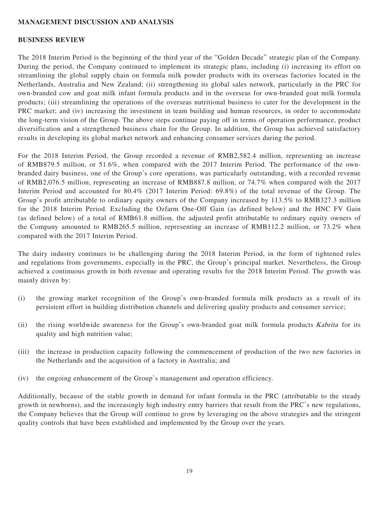#### **MANAGEMENT DISCUSSION AND ANALYSIS**

#### **BUSINESS REVIEW**

The 2018 Interim Period is the beginning of the third year of the "Golden Decade" strategic plan of the Company. During the period, the Company continued to implement its strategic plans, including (i) increasing its effort on streamlining the global supply chain on formula milk powder products with its overseas factories located in the Netherlands, Australia and New Zealand; (ii) strengthening its global sales network, particularly in the PRC for own-branded cow and goat milk infant formula products and in the overseas for own-branded goat milk formula products; (iii) streamlining the operations of the overseas nutritional business to cater for the development in the PRC market; and (iv) increasing the investment in team building and human resources, in order to accommodate the long-term vision of the Group. The above steps continue paying off in terms of operation performance, product diversification and a strengthened business chain for the Group. In addition, the Group has achieved satisfactory results in developing its global market network and enhancing consumer services during the period.

For the 2018 Interim Period, the Group recorded a revenue of RMB2,582.4 million, representing an increase of RMB879.5 million, or 51.6%, when compared with the 2017 Interim Period. The performance of the ownbranded dairy business, one of the Group's core operations, was particularly outstanding, with a recorded revenue of RMB2,076.5 million, representing an increase of RMB887.8 million, or 74.7% when compared with the 2017 Interim Period and accounted for 80.4% (2017 Interim Period: 69.8%) of the total revenue of the Group. The Group's profit attributable to ordinary equity owners of the Company increased by 113.5% to RMB327.3 million for the 2018 Interim Period. Excluding the Ozfarm One-Off Gain (as defined below) and the HNC FV Gain (as defined below) of a total of RMB61.8 million, the adjusted profit attributable to ordinary equity owners of the Company amounted to RMB265.5 million, representing an increase of RMB112.2 million, or 73.2% when compared with the 2017 Interim Period.

The dairy industry continues to be challenging during the 2018 Interim Period, in the form of tightened rules and regulations from governments, especially in the PRC, the Group's principal market. Nevertheless, the Group achieved a continuous growth in both revenue and operating results for the 2018 Interim Period. The growth was mainly driven by:

- (i) the growing market recognition of the Group's own-branded formula milk products as a result of its persistent effort in building distribution channels and delivering quality products and consumer service;
- (ii) the rising worldwide awareness for the Group's own-branded goat milk formula products Kabrita for its quality and high nutrition value;
- (iii) the increase in production capacity following the commencement of production of the two new factories in the Netherlands and the acquisition of a factory in Australia; and
- (iv) the ongoing enhancement of the Group's management and operation efficiency.

Additionally, because of the stable growth in demand for infant formula in the PRC (attributable to the steady growth in newborns), and the increasingly high industry entry barriers that result from the PRC's new regulations, the Company believes that the Group will continue to grow by leveraging on the above strategies and the stringent quality controls that have been established and implemented by the Group over the years.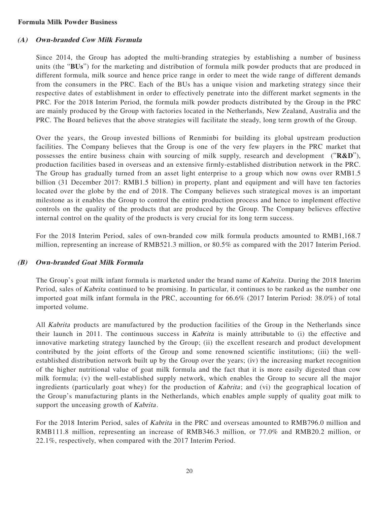#### **Formula Milk Powder Business**

## **(A) Own-branded Cow Milk Formula**

Since 2014, the Group has adopted the multi-branding strategies by establishing a number of business units (the "**BUs**") for the marketing and distribution of formula milk powder products that are produced in different formula, milk source and hence price range in order to meet the wide range of different demands from the consumers in the PRC. Each of the BUs has a unique vision and marketing strategy since their respective dates of establishment in order to effectively penetrate into the different market segments in the PRC. For the 2018 Interim Period, the formula milk powder products distributed by the Group in the PRC are mainly produced by the Group with factories located in the Netherlands, New Zealand, Australia and the PRC. The Board believes that the above strategies will facilitate the steady, long term growth of the Group.

Over the years, the Group invested billions of Renminbi for building its global upstream production facilities. The Company believes that the Group is one of the very few players in the PRC market that possesses the entire business chain with sourcing of milk supply, research and development ("**R&D**"), production facilities based in overseas and an extensive firmly-established distribution network in the PRC. The Group has gradually turned from an asset light enterprise to a group which now owns over RMB1.5 billion (31 December 2017: RMB1.5 billion) in property, plant and equipment and will have ten factories located over the globe by the end of 2018. The Company believes such strategical moves is an important milestone as it enables the Group to control the entire production process and hence to implement effective controls on the quality of the products that are produced by the Group. The Company believes effective internal control on the quality of the products is very crucial for its long term success.

For the 2018 Interim Period, sales of own-branded cow milk formula products amounted to RMB1,168.7 million, representing an increase of RMB521.3 million, or 80.5% as compared with the 2017 Interim Period.

#### **(B) Own-branded Goat Milk Formula**

The Group's goat milk infant formula is marketed under the brand name of *Kabrita*. During the 2018 Interim Period, sales of Kabrita continued to be promising. In particular, it continues to be ranked as the number one imported goat milk infant formula in the PRC, accounting for 66.6% (2017 Interim Period: 38.0%) of total imported volume.

All Kabrita products are manufactured by the production facilities of the Group in the Netherlands since their launch in 2011. The continuous success in Kabrita is mainly attributable to (i) the effective and innovative marketing strategy launched by the Group; (ii) the excellent research and product development contributed by the joint efforts of the Group and some renowned scientific institutions; (iii) the wellestablished distribution network built up by the Group over the years; (iv) the increasing market recognition of the higher nutritional value of goat milk formula and the fact that it is more easily digested than cow milk formula; (v) the well-established supply network, which enables the Group to secure all the major ingredients (particularly goat whey) for the production of  $Kabrita$ ; and (vi) the geographical location of the Group's manufacturing plants in the Netherlands, which enables ample supply of quality goat milk to support the unceasing growth of Kabrita.

For the 2018 Interim Period, sales of Kabrita in the PRC and overseas amounted to RMB796.0 million and RMB111.8 million, representing an increase of RMB346.3 million, or 77.0% and RMB20.2 million, or 22.1%, respectively, when compared with the 2017 Interim Period.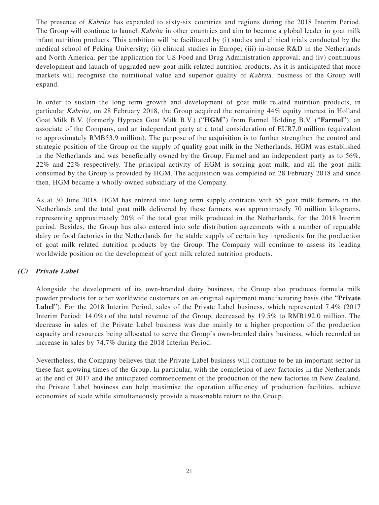The presence of *Kabrita* has expanded to sixty-six countries and regions during the 2018 Interim Period. The Group will continue to launch *Kabrita* in other countries and aim to become a global leader in goat milk infant nutrition products. This ambition will be facilitated by (i) studies and clinical trials conducted by the medical school of Peking University; (ii) clinical studies in Europe; (iii) in-house R&D in the Netherlands and North America, per the application for US Food and Drug Administration approval; and (iv) continuous development and launch of upgraded new goat milk related nutrition products. As it is anticipated that more markets will recognise the nutritional value and superior quality of Kabrita, business of the Group will expand.

In order to sustain the long term growth and development of goat milk related nutrition products, in particular Kabrita, on 28 February 2018, the Group acquired the remaining 44% equity interest in Holland Goat Milk B.V. (formerly Hyproca Goat Milk B.V.) ("**HGM**") from Farmel Holding B.V. ("**Farmel**"), an associate of the Company, and an independent party at a total consideration of EUR7.0 million (equivalent to approximately RMB53.9 million). The purpose of the acquisition is to further strengthen the control and strategic position of the Group on the supply of quality goat milk in the Netherlands. HGM was established in the Netherlands and was beneficially owned by the Group, Farmel and an independent party as to 56%, 22% and 22% respectively. The principal activity of HGM is souring goat milk, and all the goat milk consumed by the Group is provided by HGM. The acquisition was completed on 28 February 2018 and since then, HGM became a wholly-owned subsidiary of the Company.

As at 30 June 2018, HGM has entered into long term supply contracts with 55 goat milk farmers in the Netherlands and the total goat milk delivered by these farmers was approximately 70 million kilograms, representing approximately 20% of the total goat milk produced in the Netherlands, for the 2018 Interim period. Besides, the Group has also entered into sole distribution agreements with a number of reputable dairy or food factories in the Netherlands for the stable supply of certain key ingredients for the production of goat milk related nutrition products by the Group. The Company will continue to assess its leading worldwide position on the development of goat milk related nutrition products.

## **(C) Private Label**

Alongside the development of its own-branded dairy business, the Group also produces formula milk powder products for other worldwide customers on an original equipment manufacturing basis (the "**Private Label**"). For the 2018 Interim Period, sales of the Private Label business, which represented 7.4% (2017 Interim Period: 14.0%) of the total revenue of the Group, decreased by 19.5% to RMB192.0 million. The decrease in sales of the Private Label business was due mainly to a higher proportion of the production capacity and resources being allocated to serve the Group's own-branded dairy business, which recorded an increase in sales by 74.7% during the 2018 Interim Period.

Nevertheless, the Company believes that the Private Label business will continue to be an important sector in these fast-growing times of the Group. In particular, with the completion of new factories in the Netherlands at the end of 2017 and the anticipated commencement of the production of the new factories in New Zealand, the Private Label business can help maximise the operation efficiency of production facilities, achieve economies of scale while simultaneously provide a reasonable return to the Group.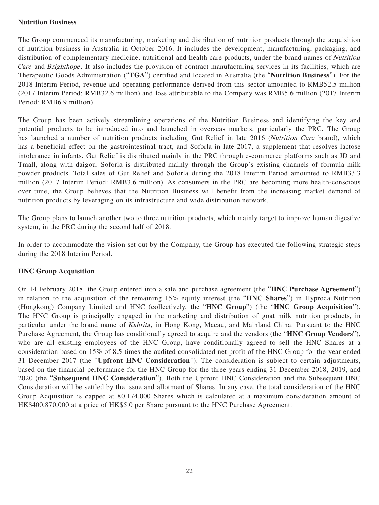#### **Nutrition Business**

The Group commenced its manufacturing, marketing and distribution of nutrition products through the acquisition of nutrition business in Australia in October 2016. It includes the development, manufacturing, packaging, and distribution of complementary medicine, nutritional and health care products, under the brand names of Nutrition Care and Brighthope. It also includes the provision of contract manufacturing services in its facilities, which are Therapeutic Goods Administration ("**TGA**") certified and located in Australia (the "**Nutrition Business**"). For the 2018 Interim Period, revenue and operating performance derived from this sector amounted to RMB52.5 million (2017 Interim Period: RMB32.6 million) and loss attributable to the Company was RMB5.6 million (2017 Interim Period: RMB6.9 million).

The Group has been actively streamlining operations of the Nutrition Business and identifying the key and potential products to be introduced into and launched in overseas markets, particularly the PRC. The Group has launched a number of nutrition products including Gut Relief in late 2016 (Nutrition Care brand), which has a beneficial effect on the gastrointestinal tract, and Soforla in late 2017, a supplement that resolves lactose intolerance in infants. Gut Relief is distributed mainly in the PRC through e-commerce platforms such as JD and Tmall, along with daigou. Soforla is distributed mainly through the Group's existing channels of formula milk powder products. Total sales of Gut Relief and Soforla during the 2018 Interim Period amounted to RMB33.3 million (2017 Interim Period: RMB3.6 million). As consumers in the PRC are becoming more health-conscious over time, the Group believes that the Nutrition Business will benefit from the increasing market demand of nutrition products by leveraging on its infrastructure and wide distribution network.

The Group plans to launch another two to three nutrition products, which mainly target to improve human digestive system, in the PRC during the second half of 2018.

In order to accommodate the vision set out by the Company, the Group has executed the following strategic steps during the 2018 Interim Period.

## **HNC Group Acquisition**

On 14 February 2018, the Group entered into a sale and purchase agreement (the "**HNC Purchase Agreement**") in relation to the acquisition of the remaining 15% equity interest (the "**HNC Shares**") in Hyproca Nutrition (Hongkong) Company Limited and HNC (collectively, the "**HNC Group**") (the "**HNC Group Acquisition**"). The HNC Group is principally engaged in the marketing and distribution of goat milk nutrition products, in particular under the brand name of Kabrita, in Hong Kong, Macau, and Mainland China. Pursuant to the HNC Purchase Agreement, the Group has conditionally agreed to acquire and the vendors (the "**HNC Group Vendors**"), who are all existing employees of the HNC Group, have conditionally agreed to sell the HNC Shares at a consideration based on 15% of 8.5 times the audited consolidated net profit of the HNC Group for the year ended 31 December 2017 (the "**Upfront HNC Consideration**"). The consideration is subject to certain adjustments, based on the financial performance for the HNC Group for the three years ending 31 December 2018, 2019, and 2020 (the "**Subsequent HNC Consideration**"). Both the Upfront HNC Consideration and the Subsequent HNC Consideration will be settled by the issue and allotment of Shares. In any case, the total consideration of the HNC Group Acquisition is capped at 80,174,000 Shares which is calculated at a maximum consideration amount of HK\$400,870,000 at a price of HK\$5.0 per Share pursuant to the HNC Purchase Agreement.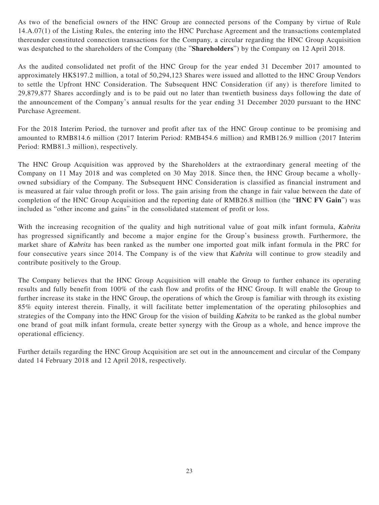As two of the beneficial owners of the HNC Group are connected persons of the Company by virtue of Rule 14.A.07(1) of the Listing Rules, the entering into the HNC Purchase Agreement and the transactions contemplated thereunder constituted connection transactions for the Company, a circular regarding the HNC Group Acquisition was despatched to the shareholders of the Company (the "**Shareholders**") by the Company on 12 April 2018.

As the audited consolidated net profit of the HNC Group for the year ended 31 December 2017 amounted to approximately HK\$197.2 million, a total of 50,294,123 Shares were issued and allotted to the HNC Group Vendors to settle the Upfront HNC Consideration. The Subsequent HNC Consideration (if any) is therefore limited to 29,879,877 Shares accordingly and is to be paid out no later than twentieth business days following the date of the announcement of the Company's annual results for the year ending 31 December 2020 pursuant to the HNC Purchase Agreement.

For the 2018 Interim Period, the turnover and profit after tax of the HNC Group continue to be promising and amounted to RMB814.6 million (2017 Interim Period: RMB454.6 million) and RMB126.9 million (2017 Interim Period: RMB81.3 million), respectively.

The HNC Group Acquisition was approved by the Shareholders at the extraordinary general meeting of the Company on 11 May 2018 and was completed on 30 May 2018. Since then, the HNC Group became a whollyowned subsidiary of the Company. The Subsequent HNC Consideration is classified as financial instrument and is measured at fair value through profit or loss. The gain arising from the change in fair value between the date of completion of the HNC Group Acquisition and the reporting date of RMB26.8 million (the "**HNC FV Gain**") was included as "other income and gains" in the consolidated statement of profit or loss.

With the increasing recognition of the quality and high nutritional value of goat milk infant formula, *Kabrita* has progressed significantly and become a major engine for the Group's business growth. Furthermore, the market share of Kabrita has been ranked as the number one imported goat milk infant formula in the PRC for four consecutive years since 2014. The Company is of the view that Kabrita will continue to grow steadily and contribute positively to the Group.

The Company believes that the HNC Group Acquisition will enable the Group to further enhance its operating results and fully benefit from 100% of the cash flow and profits of the HNC Group. It will enable the Group to further increase its stake in the HNC Group, the operations of which the Group is familiar with through its existing 85% equity interest therein. Finally, it will facilitate better implementation of the operating philosophies and strategies of the Company into the HNC Group for the vision of building *Kabrita* to be ranked as the global number one brand of goat milk infant formula, create better synergy with the Group as a whole, and hence improve the operational efficiency.

Further details regarding the HNC Group Acquisition are set out in the announcement and circular of the Company dated 14 February 2018 and 12 April 2018, respectively.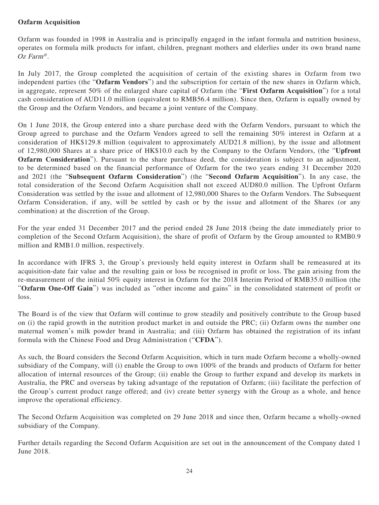## **Ozfarm Acquisition**

Ozfarm was founded in 1998 in Australia and is principally engaged in the infant formula and nutrition business, operates on formula milk products for infant, children, pregnant mothers and elderlies under its own brand name Oz Farm<sup>®</sup>.

In July 2017, the Group completed the acquisition of certain of the existing shares in Ozfarm from two independent parties (the "**Ozfarm Vendors**") and the subscription for certain of the new shares in Ozfarm which, in aggregate, represent 50% of the enlarged share capital of Ozfarm (the "**First Ozfarm Acquisition**") for a total cash consideration of AUD11.0 million (equivalent to RMB56.4 million). Since then, Ozfarm is equally owned by the Group and the Ozfarm Vendors, and became a joint venture of the Company.

On 1 June 2018, the Group entered into a share purchase deed with the Ozfarm Vendors, pursuant to which the Group agreed to purchase and the Ozfarm Vendors agreed to sell the remaining 50% interest in Ozfarm at a consideration of HK\$129.8 million (equivalent to approximately AUD21.8 million), by the issue and allotment of 12,980,000 Shares at a share price of HK\$10.0 each by the Company to the Ozfarm Vendors, (the "**Upfront Ozfarm Consideration**"). Pursuant to the share purchase deed, the consideration is subject to an adjustment, to be determined based on the financial performance of Ozfarm for the two years ending 31 December 2020 and 2021 (the "**Subsequent Ozfarm Consideration**") (the "**Second Ozfarm Acquisition**"). In any case, the total consideration of the Second Ozfarm Acquisition shall not exceed AUD80.0 million. The Upfront Ozfarm Consideration was settled by the issue and allotment of 12,980,000 Shares to the Ozfarm Vendors. The Subsequent Ozfarm Consideration, if any, will be settled by cash or by the issue and allotment of the Shares (or any combination) at the discretion of the Group.

For the year ended 31 December 2017 and the period ended 28 June 2018 (being the date immediately prior to completion of the Second Ozfarm Acquisition), the share of profit of Ozfarm by the Group amounted to RMB0.9 million and RMB1.0 million, respectively.

In accordance with IFRS 3, the Group's previously held equity interest in Ozfarm shall be remeasured at its acquisition-date fair value and the resulting gain or loss be recognised in profit or loss. The gain arising from the re-measurement of the initial 50% equity interest in Ozfarm for the 2018 Interim Period of RMB35.0 million (the "**Ozfarm One-Off Gain**") was included as "other income and gains" in the consolidated statement of profit or loss.

The Board is of the view that Ozfarm will continue to grow steadily and positively contribute to the Group based on (i) the rapid growth in the nutrition product market in and outside the PRC; (ii) Ozfarm owns the number one maternal women's milk powder brand in Australia; and (iii) Ozfarm has obtained the registration of its infant formula with the Chinese Food and Drug Administration ("**CFDA**").

As such, the Board considers the Second Ozfarm Acquisition, which in turn made Ozfarm become a wholly-owned subsidiary of the Company, will (i) enable the Group to own 100% of the brands and products of Ozfarm for better allocation of internal resources of the Group; (ii) enable the Group to further expand and develop its markets in Australia, the PRC and overseas by taking advantage of the reputation of Ozfarm; (iii) facilitate the perfection of the Group's current product range offered; and (iv) create better synergy with the Group as a whole, and hence improve the operational efficiency.

The Second Ozfarm Acquisition was completed on 29 June 2018 and since then, Ozfarm became a wholly-owned subsidiary of the Company.

Further details regarding the Second Ozfarm Acquisition are set out in the announcement of the Company dated 1 June 2018.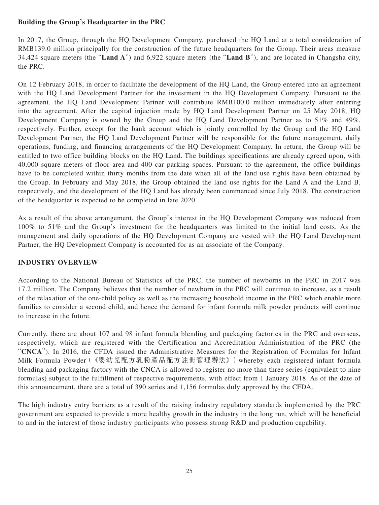## **Building the Group's Headquarter in the PRC**

In 2017, the Group, through the HQ Development Company, purchased the HQ Land at a total consideration of RMB139.0 million principally for the construction of the future headquarters for the Group. Their areas measure 34,424 square meters (the "**Land A**") and 6,922 square meters (the "**Land B**"), and are located in Changsha city, the PRC.

On 12 February 2018, in order to facilitate the development of the HQ Land, the Group entered into an agreement with the HQ Land Development Partner for the investment in the HQ Development Company. Pursuant to the agreement, the HQ Land Development Partner will contribute RMB100.0 million immediately after entering into the agreement. After the capital injection made by HQ Land Development Partner on 25 May 2018, HQ Development Company is owned by the Group and the HQ Land Development Partner as to 51% and 49%, respectively. Further, except for the bank account which is jointly controlled by the Group and the HQ Land Development Partner, the HQ Land Development Partner will be responsible for the future management, daily operations, funding, and financing arrangements of the HQ Development Company. In return, the Group will be entitled to two office building blocks on the HQ Land. The buildings specifications are already agreed upon, with 40,000 square meters of floor area and 400 car parking spaces. Pursuant to the agreement, the office buildings have to be completed within thirty months from the date when all of the land use rights have been obtained by the Group. In February and May 2018, the Group obtained the land use rights for the Land A and the Land B, respectively, and the development of the HQ Land has already been commenced since July 2018. The construction of the headquarter is expected to be completed in late 2020.

As a result of the above arrangement, the Group's interest in the HQ Development Company was reduced from 100% to 51% and the Group's investment for the headquarters was limited to the initial land costs. As the management and daily operations of the HQ Development Company are vested with the HQ Land Development Partner, the HQ Development Company is accounted for as an associate of the Company.

## **INDUSTRY OVERVIEW**

According to the National Bureau of Statistics of the PRC, the number of newborns in the PRC in 2017 was 17.2 million. The Company believes that the number of newborn in the PRC will continue to increase, as a result of the relaxation of the one-child policy as well as the increasing household income in the PRC which enable more families to consider a second child, and hence the demand for infant formula milk powder products will continue to increase in the future.

Currently, there are about 107 and 98 infant formula blending and packaging factories in the PRC and overseas, respectively, which are registered with the Certification and Accreditation Administration of the PRC (the "**CNCA**"). In 2016, the CFDA issued the Administrative Measures for the Registration of Formulas for Infant Milk Formula Powder(《嬰幼兒配方乳粉產品配方註冊管理辦法》)whereby each registered infant formula blending and packaging factory with the CNCA is allowed to register no more than three series (equivalent to nine formulas) subject to the fulfillment of respective requirements, with effect from 1 January 2018. As of the date of this announcement, there are a total of 390 series and 1,156 formulas duly approved by the CFDA.

The high industry entry barriers as a result of the raising industry regulatory standards implemented by the PRC government are expected to provide a more healthy growth in the industry in the long run, which will be beneficial to and in the interest of those industry participants who possess strong R&D and production capability.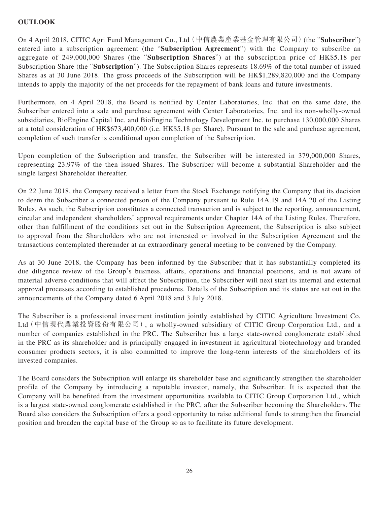## **OUTLOOK**

On 4 April 2018, CITIC Agri Fund Management Co., Ltd(中信農業產業基金管理有限公司)(the "**Subscriber**") entered into a subscription agreement (the "**Subscription Agreement**") with the Company to subscribe an aggregate of 249,000,000 Shares (the "**Subscription Shares**") at the subscription price of HK\$5.18 per Subscription Share (the "**Subscription**"). The Subscription Shares represents 18.69% of the total number of issued Shares as at 30 June 2018. The gross proceeds of the Subscription will be HK\$1,289,820,000 and the Company intends to apply the majority of the net proceeds for the repayment of bank loans and future investments.

Furthermore, on 4 April 2018, the Board is notified by Center Laboratories, Inc. that on the same date, the Subscriber entered into a sale and purchase agreement with Center Laboratories, Inc. and its non-wholly-owned subsidiaries, BioEngine Capital Inc. and BioEngine Technology Development Inc. to purchase 130,000,000 Shares at a total consideration of HK\$673,400,000 (i.e. HK\$5.18 per Share). Pursuant to the sale and purchase agreement, completion of such transfer is conditional upon completion of the Subscription.

Upon completion of the Subscription and transfer, the Subscriber will be interested in 379,000,000 Shares, representing 23.97% of the then issued Shares. The Subscriber will become a substantial Shareholder and the single largest Shareholder thereafter.

On 22 June 2018, the Company received a letter from the Stock Exchange notifying the Company that its decision to deem the Subscriber a connected person of the Company pursuant to Rule 14A.19 and 14A.20 of the Listing Rules. As such, the Subscription constitutes a connected transaction and is subject to the reporting, announcement, circular and independent shareholders' approval requirements under Chapter 14A of the Listing Rules. Therefore, other than fulfillment of the conditions set out in the Subscription Agreement, the Subscription is also subject to approval from the Shareholders who are not interested or involved in the Subscription Agreement and the transactions contemplated thereunder at an extraordinary general meeting to be convened by the Company.

As at 30 June 2018, the Company has been informed by the Subscriber that it has substantially completed its due diligence review of the Group's business, affairs, operations and financial positions, and is not aware of material adverse conditions that will affect the Subscription, the Subscriber will next start its internal and external approval processes according to established procedures. Details of the Subscription and its status are set out in the announcements of the Company dated 6 April 2018 and 3 July 2018.

The Subscriber is a professional investment institution jointly established by CITIC Agriculture Investment Co. Ltd(中信現代農業投資股份有限公司), a wholly-owned subsidiary of CITIC Group Corporation Ltd., and a number of companies established in the PRC. The Subscriber has a large state-owned conglomerate established in the PRC as its shareholder and is principally engaged in investment in agricultural biotechnology and branded consumer products sectors, it is also committed to improve the long-term interests of the shareholders of its invested companies.

The Board considers the Subscription will enlarge its shareholder base and significantly strengthen the shareholder profile of the Company by introducing a reputable investor, namely, the Subscriber. It is expected that the Company will be benefited from the investment opportunities available to CITIC Group Corporation Ltd., which is a largest state-owned conglomerate established in the PRC, after the Subscriber becoming the Shareholders. The Board also considers the Subscription offers a good opportunity to raise additional funds to strengthen the financial position and broaden the capital base of the Group so as to facilitate its future development.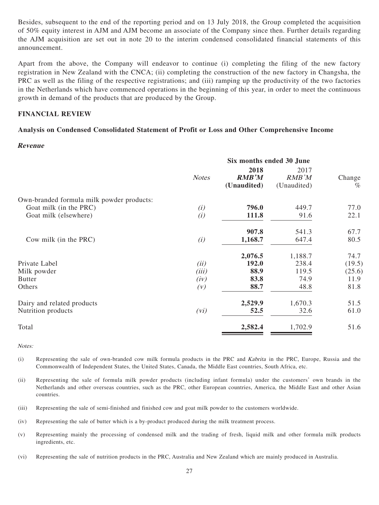Besides, subsequent to the end of the reporting period and on 13 July 2018, the Group completed the acquisition of 50% equity interest in AJM and AJM become an associate of the Company since then. Further details regarding the AJM acquisition are set out in note 20 to the interim condensed consolidated financial statements of this announcement.

Apart from the above, the Company will endeavor to continue (i) completing the filing of the new factory registration in New Zealand with the CNCA; (ii) completing the construction of the new factory in Changsha, the PRC as well as the filing of the respective registrations; and (iii) ramping up the productivity of the two factories in the Netherlands which have commenced operations in the beginning of this year, in order to meet the continuous growth in demand of the products that are produced by the Group.

#### **FINANCIAL REVIEW**

## **Analysis on Condensed Consolidated Statement of Profit or Loss and Other Comprehensive Income**

#### **Revenue**

| 2018<br><b>RMB'M</b><br><b>Notes</b><br>(Unaudited) | 2017<br>RMB'M<br>(Unaudited)                                                                                               | Change                                                         |
|-----------------------------------------------------|----------------------------------------------------------------------------------------------------------------------------|----------------------------------------------------------------|
|                                                     |                                                                                                                            | $\%$                                                           |
|                                                     |                                                                                                                            |                                                                |
|                                                     |                                                                                                                            | 77.0                                                           |
| 111.8                                               | 91.6                                                                                                                       | 22.1                                                           |
|                                                     |                                                                                                                            | 67.7                                                           |
| 1,168.7                                             | 647.4                                                                                                                      | 80.5                                                           |
|                                                     |                                                                                                                            | 74.7                                                           |
|                                                     |                                                                                                                            | (19.5)                                                         |
|                                                     |                                                                                                                            | (25.6)                                                         |
|                                                     |                                                                                                                            | 11.9                                                           |
| 88.7                                                | 48.8                                                                                                                       | 81.8                                                           |
|                                                     |                                                                                                                            | 51.5                                                           |
| 52.5                                                | 32.6                                                                                                                       | 61.0                                                           |
| 2,582.4                                             | 1,702.9                                                                                                                    | 51.6                                                           |
|                                                     | 796.0<br>(i)<br>(i)<br>907.8<br>(i)<br>2,076.5<br>192.0<br>(ii)<br>(iii)<br>88.9<br>83.8<br>(iv)<br>(V)<br>2,529.9<br>(vi) | 449.7<br>541.3<br>1,188.7<br>238.4<br>119.5<br>74.9<br>1,670.3 |

Notes:

- (i) Representing the sale of own-branded cow milk formula products in the PRC and Kabrita in the PRC, Europe, Russia and the Commonwealth of Independent States, the United States, Canada, the Middle East countries, South Africa, etc.
- (ii) Representing the sale of formula milk powder products (including infant formula) under the customers' own brands in the Netherlands and other overseas countries, such as the PRC, other European countries, America, the Middle East and other Asian countries.
- (iii) Representing the sale of semi-finished and finished cow and goat milk powder to the customers worldwide.
- (iv) Representing the sale of butter which is a by-product produced during the milk treatment process.
- (v) Representing mainly the processing of condensed milk and the trading of fresh, liquid milk and other formula milk products ingredients, etc.
- (vi) Representing the sale of nutrition products in the PRC, Australia and New Zealand which are mainly produced in Australia.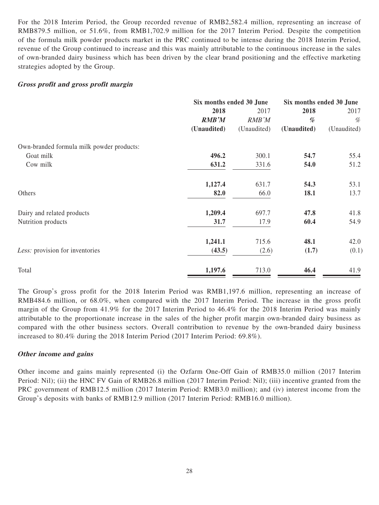For the 2018 Interim Period, the Group recorded revenue of RMB2,582.4 million, representing an increase of RMB879.5 million, or 51.6%, from RMB1,702.9 million for the 2017 Interim Period. Despite the competition of the formula milk powder products market in the PRC continued to be intense during the 2018 Interim Period, revenue of the Group continued to increase and this was mainly attributable to the continuous increase in the sales of own-branded dairy business which has been driven by the clear brand positioning and the effective marketing strategies adopted by the Group.

#### **Gross profit and gross profit margin**

|                                           | Six months ended 30 June |             | Six months ended 30 June |             |
|-------------------------------------------|--------------------------|-------------|--------------------------|-------------|
|                                           | 2018                     | 2017        | 2018                     | 2017        |
|                                           | <b>RMB'M</b>             | RMB'M       | %                        | %           |
|                                           | (Unaudited)              | (Unaudited) | (Unaudited)              | (Unaudited) |
| Own-branded formula milk powder products: |                          |             |                          |             |
| Goat milk                                 | 496.2                    | 300.1       | 54.7                     | 55.4        |
| Cow milk                                  | 631.2                    | 331.6       | 54.0                     | 51.2        |
|                                           | 1,127.4                  | 631.7       | 54.3                     | 53.1        |
| Others                                    | 82.0                     | 66.0        | 18.1                     | 13.7        |
| Dairy and related products                | 1,209.4                  | 697.7       | 47.8                     | 41.8        |
| Nutrition products                        | 31.7                     | 17.9        | 60.4                     | 54.9        |
|                                           | 1,241.1                  | 715.6       | 48.1                     | 42.0        |
| Less: provision for inventories           | (43.5)                   | (2.6)       | (1.7)                    | (0.1)       |
| Total                                     | 1,197.6                  | 713.0       | 46.4                     | 41.9        |

The Group's gross profit for the 2018 Interim Period was RMB1,197.6 million, representing an increase of RMB484.6 million, or 68.0%, when compared with the 2017 Interim Period. The increase in the gross profit margin of the Group from 41.9% for the 2017 Interim Period to 46.4% for the 2018 Interim Period was mainly attributable to the proportionate increase in the sales of the higher profit margin own-branded dairy business as compared with the other business sectors. Overall contribution to revenue by the own-branded dairy business increased to 80.4% during the 2018 Interim Period (2017 Interim Period: 69.8%).

#### **Other income and gains**

Other income and gains mainly represented (i) the Ozfarm One-Off Gain of RMB35.0 million (2017 Interim Period: Nil); (ii) the HNC FV Gain of RMB26.8 million (2017 Interim Period: Nil); (iii) incentive granted from the PRC government of RMB12.5 million (2017 Interim Period: RMB3.0 million); and (iv) interest income from the Group's deposits with banks of RMB12.9 million (2017 Interim Period: RMB16.0 million).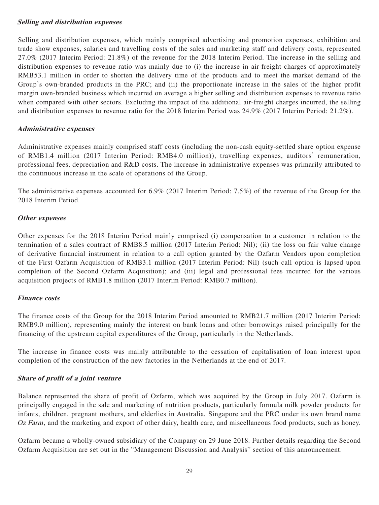#### **Selling and distribution expenses**

Selling and distribution expenses, which mainly comprised advertising and promotion expenses, exhibition and trade show expenses, salaries and travelling costs of the sales and marketing staff and delivery costs, represented 27.0% (2017 Interim Period: 21.8%) of the revenue for the 2018 Interim Period. The increase in the selling and distribution expenses to revenue ratio was mainly due to (i) the increase in air-freight charges of approximately RMB53.1 million in order to shorten the delivery time of the products and to meet the market demand of the Group's own-branded products in the PRC; and (ii) the proportionate increase in the sales of the higher profit margin own-branded business which incurred on average a higher selling and distribution expenses to revenue ratio when compared with other sectors. Excluding the impact of the additional air-freight charges incurred, the selling and distribution expenses to revenue ratio for the 2018 Interim Period was 24.9% (2017 Interim Period: 21.2%).

## **Administrative expenses**

Administrative expenses mainly comprised staff costs (including the non-cash equity-settled share option expense of RMB1.4 million (2017 Interim Period: RMB4.0 million)), travelling expenses, auditors' remuneration, professional fees, depreciation and R&D costs. The increase in administrative expenses was primarily attributed to the continuous increase in the scale of operations of the Group.

The administrative expenses accounted for 6.9% (2017 Interim Period: 7.5%) of the revenue of the Group for the 2018 Interim Period.

## **Other expenses**

Other expenses for the 2018 Interim Period mainly comprised (i) compensation to a customer in relation to the termination of a sales contract of RMB8.5 million (2017 Interim Period: Nil); (ii) the loss on fair value change of derivative financial instrument in relation to a call option granted by the Ozfarm Vendors upon completion of the First Ozfarm Acquisition of RMB3.1 million (2017 Interim Period: Nil) (such call option is lapsed upon completion of the Second Ozfarm Acquisition); and (iii) legal and professional fees incurred for the various acquisition projects of RMB1.8 million (2017 Interim Period: RMB0.7 million).

#### **Finance costs**

The finance costs of the Group for the 2018 Interim Period amounted to RMB21.7 million (2017 Interim Period: RMB9.0 million), representing mainly the interest on bank loans and other borrowings raised principally for the financing of the upstream capital expenditures of the Group, particularly in the Netherlands.

The increase in finance costs was mainly attributable to the cessation of capitalisation of loan interest upon completion of the construction of the new factories in the Netherlands at the end of 2017.

## **Share of profit of a joint venture**

Balance represented the share of profit of Ozfarm, which was acquired by the Group in July 2017. Ozfarm is principally engaged in the sale and marketing of nutrition products, particularly formula milk powder products for infants, children, pregnant mothers, and elderlies in Australia, Singapore and the PRC under its own brand name Oz Farm, and the marketing and export of other dairy, health care, and miscellaneous food products, such as honey.

Ozfarm became a wholly-owned subsidiary of the Company on 29 June 2018. Further details regarding the Second Ozfarm Acquisition are set out in the "Management Discussion and Analysis" section of this announcement.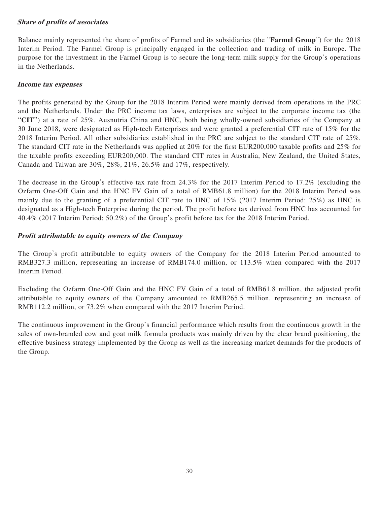## **Share of profits of associates**

Balance mainly represented the share of profits of Farmel and its subsidiaries (the "**Farmel Group**") for the 2018 Interim Period. The Farmel Group is principally engaged in the collection and trading of milk in Europe. The purpose for the investment in the Farmel Group is to secure the long-term milk supply for the Group's operations in the Netherlands.

#### **Income tax expenses**

The profits generated by the Group for the 2018 Interim Period were mainly derived from operations in the PRC and the Netherlands. Under the PRC income tax laws, enterprises are subject to the corporate income tax (the "**CIT**") at a rate of 25%. Ausnutria China and HNC, both being wholly-owned subsidiaries of the Company at 30 June 2018, were designated as High-tech Enterprises and were granted a preferential CIT rate of 15% for the 2018 Interim Period. All other subsidiaries established in the PRC are subject to the standard CIT rate of 25%. The standard CIT rate in the Netherlands was applied at 20% for the first EUR200,000 taxable profits and 25% for the taxable profits exceeding EUR200,000. The standard CIT rates in Australia, New Zealand, the United States, Canada and Taiwan are 30%, 28%, 21%, 26.5% and 17%, respectively.

The decrease in the Group's effective tax rate from 24.3% for the 2017 Interim Period to 17.2% (excluding the Ozfarm One-Off Gain and the HNC FV Gain of a total of RMB61.8 million) for the 2018 Interim Period was mainly due to the granting of a preferential CIT rate to HNC of 15% (2017 Interim Period: 25%) as HNC is designated as a High-tech Enterprise during the period. The profit before tax derived from HNC has accounted for 40.4% (2017 Interim Period: 50.2%) of the Group's profit before tax for the 2018 Interim Period.

## **Profit attributable to equity owners of the Company**

The Group's profit attributable to equity owners of the Company for the 2018 Interim Period amounted to RMB327.3 million, representing an increase of RMB174.0 million, or 113.5% when compared with the 2017 Interim Period.

Excluding the Ozfarm One-Off Gain and the HNC FV Gain of a total of RMB61.8 million, the adjusted profit attributable to equity owners of the Company amounted to RMB265.5 million, representing an increase of RMB112.2 million, or 73.2% when compared with the 2017 Interim Period.

The continuous improvement in the Group's financial performance which results from the continuous growth in the sales of own-branded cow and goat milk formula products was mainly driven by the clear brand positioning, the effective business strategy implemented by the Group as well as the increasing market demands for the products of the Group.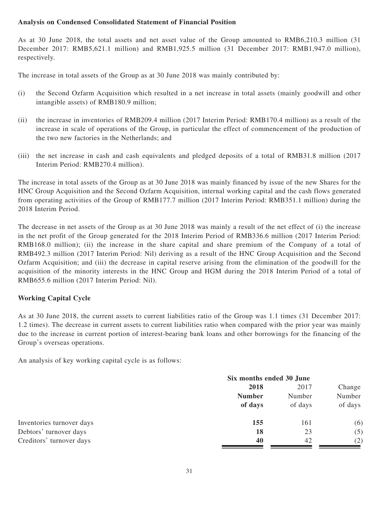## **Analysis on Condensed Consolidated Statement of Financial Position**

As at 30 June 2018, the total assets and net asset value of the Group amounted to RMB6,210.3 million (31 December 2017: RMB5,621.1 million) and RMB1,925.5 million (31 December 2017: RMB1,947.0 million), respectively.

The increase in total assets of the Group as at 30 June 2018 was mainly contributed by:

- (i) the Second Ozfarm Acquisition which resulted in a net increase in total assets (mainly goodwill and other intangible assets) of RMB180.9 million;
- (ii) the increase in inventories of RMB209.4 million (2017 Interim Period: RMB170.4 million) as a result of the increase in scale of operations of the Group, in particular the effect of commencement of the production of the two new factories in the Netherlands; and
- (iii) the net increase in cash and cash equivalents and pledged deposits of a total of RMB31.8 million (2017 Interim Period: RMB270.4 million).

The increase in total assets of the Group as at 30 June 2018 was mainly financed by issue of the new Shares for the HNC Group Acquisition and the Second Ozfarm Acquisition, internal working capital and the cash flows generated from operating activities of the Group of RMB177.7 million (2017 Interim Period: RMB351.1 million) during the 2018 Interim Period.

The decrease in net assets of the Group as at 30 June 2018 was mainly a result of the net effect of (i) the increase in the net profit of the Group generated for the 2018 Interim Period of RMB336.6 million (2017 Interim Period: RMB168.0 million); (ii) the increase in the share capital and share premium of the Company of a total of RMB492.3 million (2017 Interim Period: Nil) deriving as a result of the HNC Group Acquisition and the Second Ozfarm Acquisition; and (iii) the decrease in capital reserve arising from the elimination of the goodwill for the acquisition of the minority interests in the HNC Group and HGM during the 2018 Interim Period of a total of RMB655.6 million (2017 Interim Period: Nil).

## **Working Capital Cycle**

As at 30 June 2018, the current assets to current liabilities ratio of the Group was 1.1 times (31 December 2017: 1.2 times). The decrease in current assets to current liabilities ratio when compared with the prior year was mainly due to the increase in current portion of interest-bearing bank loans and other borrowings for the financing of the Group's overseas operations.

An analysis of key working capital cycle is as follows:

|                           | Six months ended 30 June |         |         |  |
|---------------------------|--------------------------|---------|---------|--|
|                           | 2018                     |         | Change  |  |
|                           | <b>Number</b>            | Number  | Number  |  |
|                           | of days                  | of days | of days |  |
| Inventories turnover days | 155                      | 161     | (6)     |  |
| Debtors' turnover days    | 18                       | 23      | (5)     |  |
| Creditors' turnover days  | 40                       | 42      | (2)     |  |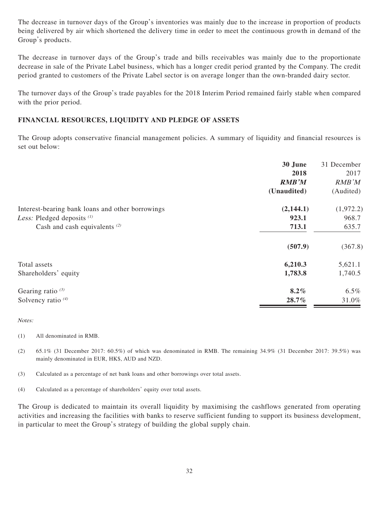The decrease in turnover days of the Group's inventories was mainly due to the increase in proportion of products being delivered by air which shortened the delivery time in order to meet the continuous growth in demand of the Group's products.

The decrease in turnover days of the Group's trade and bills receivables was mainly due to the proportionate decrease in sale of the Private Label business, which has a longer credit period granted by the Company. The credit period granted to customers of the Private Label sector is on average longer than the own-branded dairy sector.

The turnover days of the Group's trade payables for the 2018 Interim Period remained fairly stable when compared with the prior period.

## **FINANCIAL RESOURCES, LIQUIDITY AND PLEDGE OF ASSETS**

The Group adopts conservative financial management policies. A summary of liquidity and financial resources is set out below:

|                                                                                   | 30 June<br>2018<br><b>RMB'M</b><br>(Unaudited) | 31 December<br>2017<br>RMB'M<br>(Audited) |
|-----------------------------------------------------------------------------------|------------------------------------------------|-------------------------------------------|
| Interest-bearing bank loans and other borrowings                                  | (2,144.1)                                      | (1,972.2)                                 |
| Less: Pledged deposits <sup>(1)</sup><br>Cash and cash equivalents <sup>(2)</sup> | 923.1<br>713.1                                 | 968.7<br>635.7                            |
|                                                                                   | (507.9)                                        | (367.8)                                   |
| Total assets                                                                      | 6,210.3                                        | 5,621.1                                   |
| Shareholders' equity                                                              | 1,783.8                                        | 1,740.5                                   |
| Gearing ratio $(3)$                                                               | $8.2\%$                                        | $6.5\%$                                   |
| Solvency ratio $(4)$                                                              | 28.7%                                          | 31.0%                                     |

Notes:

- (1) All denominated in RMB.
- (2) 65.1% (31 December 2017: 60.5%) of which was denominated in RMB. The remaining 34.9% (31 December 2017: 39.5%) was mainly denominated in EUR, HK\$, AUD and NZD.
- (3) Calculated as a percentage of net bank loans and other borrowings over total assets.
- (4) Calculated as a percentage of shareholders' equity over total assets.

The Group is dedicated to maintain its overall liquidity by maximising the cashflows generated from operating activities and increasing the facilities with banks to reserve sufficient funding to support its business development, in particular to meet the Group's strategy of building the global supply chain.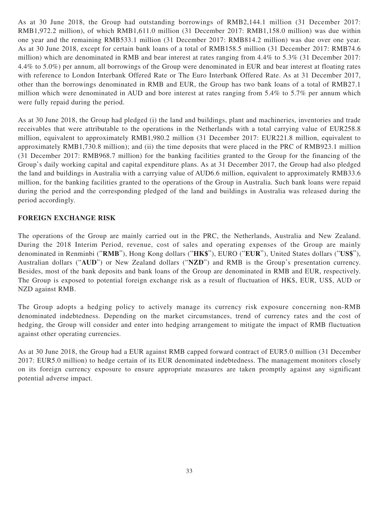As at 30 June 2018, the Group had outstanding borrowings of RMB2,144.1 million (31 December 2017: RMB1,972.2 million), of which RMB1,611.0 million (31 December 2017: RMB1,158.0 million) was due within one year and the remaining RMB533.1 million (31 December 2017: RMB814.2 million) was due over one year. As at 30 June 2018, except for certain bank loans of a total of RMB158.5 million (31 December 2017: RMB74.6 million) which are denominated in RMB and bear interest at rates ranging from 4.4% to 5.3% (31 December 2017: 4.4% to 5.0%) per annum, all borrowings of the Group were denominated in EUR and bear interest at floating rates with reference to London Interbank Offered Rate or The Euro Interbank Offered Rate. As at 31 December 2017, other than the borrowings denominated in RMB and EUR, the Group has two bank loans of a total of RMB27.1 million which were denominated in AUD and bore interest at rates ranging from 5.4% to 5.7% per annum which were fully repaid during the period.

As at 30 June 2018, the Group had pledged (i) the land and buildings, plant and machineries, inventories and trade receivables that were attributable to the operations in the Netherlands with a total carrying value of EUR258.8 million, equivalent to approximately RMB1,980.2 million (31 December 2017: EUR221.8 million, equivalent to approximately RMB1,730.8 million); and (ii) the time deposits that were placed in the PRC of RMB923.1 million (31 December 2017: RMB968.7 million) for the banking facilities granted to the Group for the financing of the Group's daily working capital and capital expenditure plans. As at 31 December 2017, the Group had also pledged the land and buildings in Australia with a carrying value of AUD6.6 million, equivalent to approximately RMB33.6 million, for the banking facilities granted to the operations of the Group in Australia. Such bank loans were repaid during the period and the corresponding pledged of the land and buildings in Australia was released during the period accordingly.

## **FOREIGN EXCHANGE RISK**

The operations of the Group are mainly carried out in the PRC, the Netherlands, Australia and New Zealand. During the 2018 Interim Period, revenue, cost of sales and operating expenses of the Group are mainly denominated in Renminbi ("**RMB**"), Hong Kong dollars ("**HK\$**"), EURO ("**EUR**"), United States dollars ("**US\$**"), Australian dollars ("**AUD**") or New Zealand dollars ("**NZD**") and RMB is the Group's presentation currency. Besides, most of the bank deposits and bank loans of the Group are denominated in RMB and EUR, respectively. The Group is exposed to potential foreign exchange risk as a result of fluctuation of HK\$, EUR, US\$, AUD or NZD against RMB.

The Group adopts a hedging policy to actively manage its currency risk exposure concerning non-RMB denominated indebtedness. Depending on the market circumstances, trend of currency rates and the cost of hedging, the Group will consider and enter into hedging arrangement to mitigate the impact of RMB fluctuation against other operating currencies.

As at 30 June 2018, the Group had a EUR against RMB capped forward contract of EUR5.0 million (31 December 2017: EUR5.0 million) to hedge certain of its EUR denominated indebtedness. The management monitors closely on its foreign currency exposure to ensure appropriate measures are taken promptly against any significant potential adverse impact.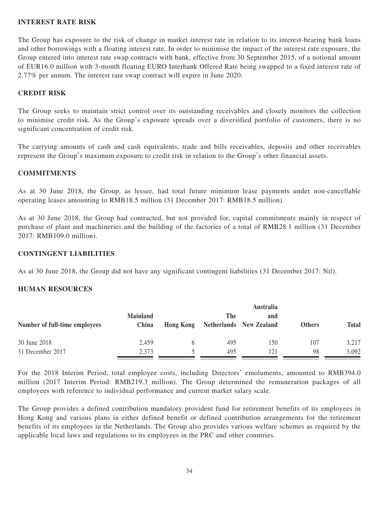#### **INTEREST RATE RISK**

The Group has exposure to the risk of change in market interest rate in relation to its interest-bearing bank loans and other borrowings with a floating interest rate. In order to minimise the impact of the interest rate exposure, the Group entered into interest rate swap contracts with bank, effective from 30 September 2015, of a notional amount of EUR16.0 million with 3-month floating EURO Interbank Offered Rate being swapped to a fixed interest rate of 2.77% per annum. The interest rate swap contract will expire in June 2020.

## **CREDIT RISK**

The Group seeks to maintain strict control over its outstanding receivables and closely monitors the collection to minimise credit risk. As the Group's exposure spreads over a diversified portfolio of customers, there is no significant concentration of credit risk.

The carrying amounts of cash and cash equivalents, trade and bills receivables, deposits and other receivables represent the Group's maximum exposure to credit risk in relation to the Group's other financial assets.

## **COMMITMENTS**

As at 30 June 2018, the Group, as lessee, had total future minimum lease payments under non-cancellable operating leases amounting to RMB18.5 million (31 December 2017: RMB18.5 million).

As at 30 June 2018, the Group had contracted, but not provided for, capital commitments mainly in respect of purchase of plant and machineries and the building of the factories of a total of RMB28.1 million (31 December 2017: RMB109.0 million).

#### **CONTINGENT LIABILITIES**

As at 30 June 2018, the Group did not have any significant contingent liabilities (31 December 2017: Nil).

#### **HUMAN RESOURCES**

| Number of full-time employees | <b>Australia</b>         |                  |     |                                       |               |              |
|-------------------------------|--------------------------|------------------|-----|---------------------------------------|---------------|--------------|
|                               | <b>Mainland</b><br>China | <b>Hong Kong</b> | The | and<br><b>Netherlands</b> New Zealand | <b>Others</b> | <b>Total</b> |
| 30 June 2018                  | 2,459                    |                  | 495 | 150                                   | 107           | 3,217        |
| 31 December 2017              | 2,373                    |                  | 495 | 121                                   | 98            | 3,092        |

For the 2018 Interim Period, total employee costs, including Directors' emoluments, amounted to RMB394.0 million (2017 Interim Period: RMB219.3 million). The Group determined the remuneration packages of all employees with reference to individual performance and current market salary scale.

The Group provides a defined contribution mandatory provident fund for retirement benefits of its employees in Hong Kong and various plans in either defined benefit or defined contribution arrangements for the retirement benefits of its employees in the Netherlands. The Group also provides various welfare schemes as required by the applicable local laws and regulations to its employees in the PRC and other countries.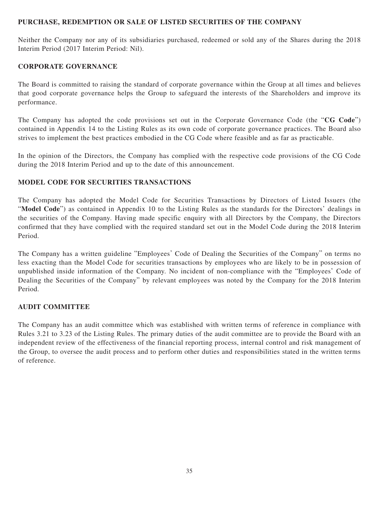#### **PURCHASE, REDEMPTION OR SALE OF LISTED SECURITIES OF THE COMPANY**

Neither the Company nor any of its subsidiaries purchased, redeemed or sold any of the Shares during the 2018 Interim Period (2017 Interim Period: Nil).

## **CORPORATE GOVERNANCE**

The Board is committed to raising the standard of corporate governance within the Group at all times and believes that good corporate governance helps the Group to safeguard the interests of the Shareholders and improve its performance.

The Company has adopted the code provisions set out in the Corporate Governance Code (the "**CG Code**") contained in Appendix 14 to the Listing Rules as its own code of corporate governance practices. The Board also strives to implement the best practices embodied in the CG Code where feasible and as far as practicable.

In the opinion of the Directors, the Company has complied with the respective code provisions of the CG Code during the 2018 Interim Period and up to the date of this announcement.

## **MODEL CODE FOR SECURITIES TRANSACTIONS**

The Company has adopted the Model Code for Securities Transactions by Directors of Listed Issuers (the "**Model Code**") as contained in Appendix 10 to the Listing Rules as the standards for the Directors' dealings in the securities of the Company. Having made specific enquiry with all Directors by the Company, the Directors confirmed that they have complied with the required standard set out in the Model Code during the 2018 Interim Period.

The Company has a written guideline "Employees' Code of Dealing the Securities of the Company" on terms no less exacting than the Model Code for securities transactions by employees who are likely to be in possession of unpublished inside information of the Company. No incident of non-compliance with the "Employees' Code of Dealing the Securities of the Company" by relevant employees was noted by the Company for the 2018 Interim Period.

#### **AUDIT COMMITTEE**

The Company has an audit committee which was established with written terms of reference in compliance with Rules 3.21 to 3.23 of the Listing Rules. The primary duties of the audit committee are to provide the Board with an independent review of the effectiveness of the financial reporting process, internal control and risk management of the Group, to oversee the audit process and to perform other duties and responsibilities stated in the written terms of reference.